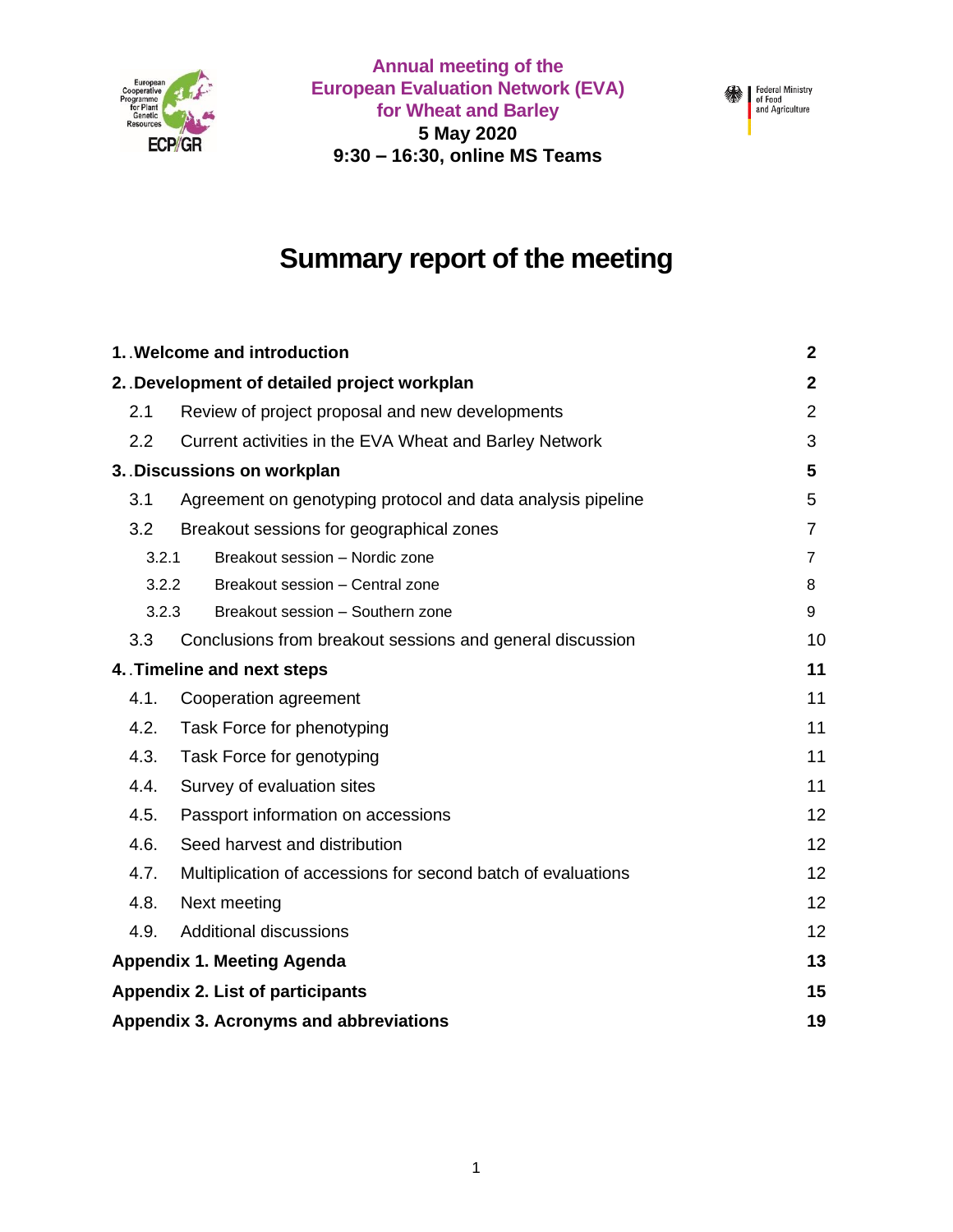

**Annual meeting of the European Evaluation Network (EVA) for Wheat and Barley 5 May 2020 9:30 – 16:30, online MS Teams**



# **Summary report of the meeting**

| 1. Welcome and introduction                                          | $\mathbf{2}$   |
|----------------------------------------------------------------------|----------------|
| 2. Development of detailed project workplan                          | $\mathbf{2}$   |
| Review of project proposal and new developments<br>2.1               | $\overline{2}$ |
| 2.2<br>Current activities in the EVA Wheat and Barley Network        | 3              |
| 3. Discussions on workplan                                           | 5              |
| 3.1<br>Agreement on genotyping protocol and data analysis pipeline   | 5              |
| 3.2<br>Breakout sessions for geographical zones                      | $\overline{7}$ |
| Breakout session - Nordic zone<br>3.2.1                              | 7              |
| 3.2.2<br>Breakout session - Central zone                             | 8              |
| 3.2.3<br>Breakout session - Southern zone                            | 9              |
| 3.3<br>Conclusions from breakout sessions and general discussion     | 10             |
| 4. Timeline and next steps                                           | 11             |
| 4.1.<br>Cooperation agreement                                        | 11             |
| 4.2.<br>Task Force for phenotyping                                   | 11             |
| 4.3.<br>Task Force for genotyping                                    | 11             |
| 4.4.<br>Survey of evaluation sites                                   | 11             |
| 4.5.<br>Passport information on accessions                           | 12             |
| 4.6.<br>Seed harvest and distribution                                | 12             |
| 4.7.<br>Multiplication of accessions for second batch of evaluations | 12             |
| 4.8.<br>Next meeting                                                 | 12             |
| 4.9.<br><b>Additional discussions</b>                                | 12             |
| <b>Appendix 1. Meeting Agenda</b>                                    | 13             |
| <b>Appendix 2. List of participants</b>                              | 15             |
| Appendix 3. Acronyms and abbreviations                               | 19             |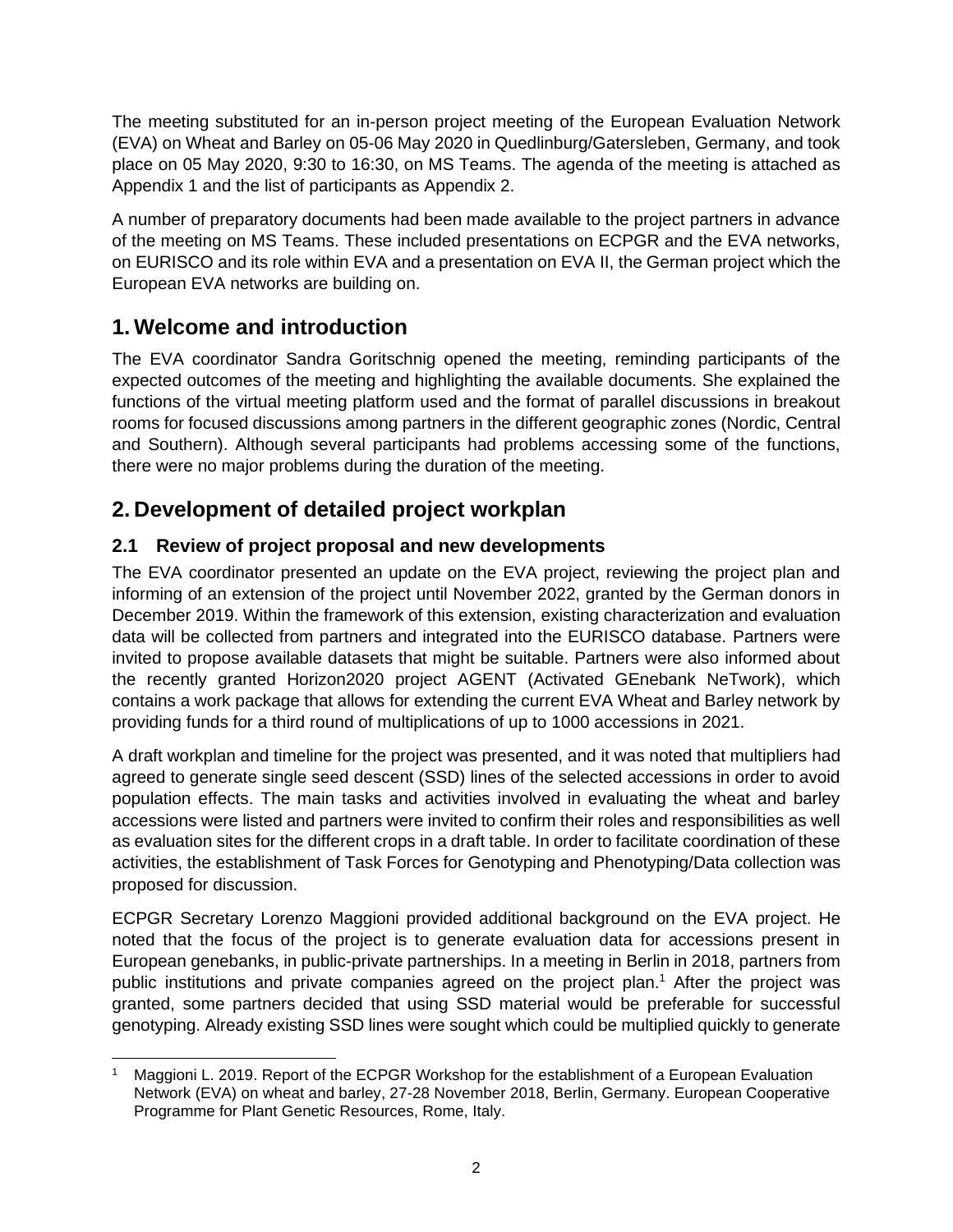The meeting substituted for an in-person project meeting of the European Evaluation Network (EVA) on Wheat and Barley on 05-06 May 2020 in Quedlinburg/Gatersleben, Germany, and took place on 05 May 2020, 9:30 to 16:30, on MS Teams. The agenda of the meeting is attached as Appendix 1 and the list of participants as Appendix 2.

A number of preparatory documents had been made available to the project partners in advance of the meeting on MS Teams. These included presentations on ECPGR and the EVA networks, on EURISCO and its role within EVA and a presentation on EVA II, the German project which the European EVA networks are building on.

## **1. Welcome and introduction**

The EVA coordinator Sandra Goritschnig opened the meeting, reminding participants of the expected outcomes of the meeting and highlighting the available documents. She explained the functions of the virtual meeting platform used and the format of parallel discussions in breakout rooms for focused discussions among partners in the different geographic zones (Nordic, Central and Southern). Although several participants had problems accessing some of the functions, there were no major problems during the duration of the meeting.

## **2. Development of detailed project workplan**

#### **2.1 Review of project proposal and new developments**

The EVA coordinator presented an update on the EVA project, reviewing the project plan and informing of an extension of the project until November 2022, granted by the German donors in December 2019. Within the framework of this extension, existing characterization and evaluation data will be collected from partners and integrated into the EURISCO database. Partners were invited to propose available datasets that might be suitable. Partners were also informed about the recently granted Horizon2020 project AGENT (Activated GEnebank NeTwork), which contains a work package that allows for extending the current EVA Wheat and Barley network by providing funds for a third round of multiplications of up to 1000 accessions in 2021.

A draft workplan and timeline for the project was presented, and it was noted that multipliers had agreed to generate single seed descent (SSD) lines of the selected accessions in order to avoid population effects. The main tasks and activities involved in evaluating the wheat and barley accessions were listed and partners were invited to confirm their roles and responsibilities as well as evaluation sites for the different crops in a draft table. In order to facilitate coordination of these activities, the establishment of Task Forces for Genotyping and Phenotyping/Data collection was proposed for discussion.

ECPGR Secretary Lorenzo Maggioni provided additional background on the EVA project. He noted that the focus of the project is to generate evaluation data for accessions present in European genebanks, in public-private partnerships. In a meeting in Berlin in 2018, partners from public institutions and private companies agreed on the project plan.<sup>1</sup> After the project was granted, some partners decided that using SSD material would be preferable for successful genotyping. Already existing SSD lines were sought which could be multiplied quickly to generate

Maggioni L. 2019. Report of the ECPGR Workshop for the establishment of a European Evaluation Network (EVA) on wheat and barley, 27-28 November 2018, Berlin, Germany. European Cooperative Programme for Plant Genetic Resources, Rome, Italy.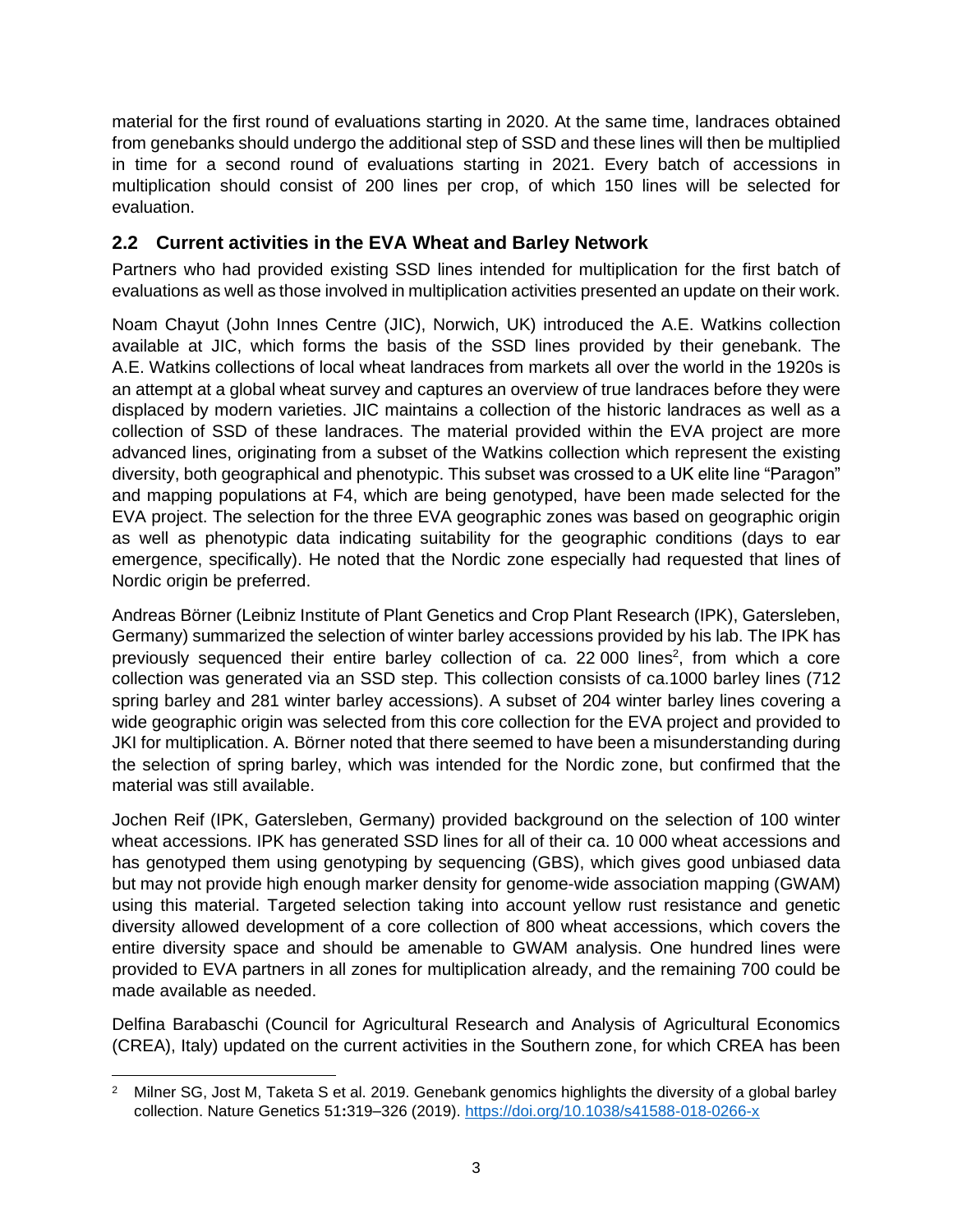material for the first round of evaluations starting in 2020. At the same time, landraces obtained from genebanks should undergo the additional step of SSD and these lines will then be multiplied in time for a second round of evaluations starting in 2021. Every batch of accessions in multiplication should consist of 200 lines per crop, of which 150 lines will be selected for evaluation.

#### **2.2 Current activities in the EVA Wheat and Barley Network**

Partners who had provided existing SSD lines intended for multiplication for the first batch of evaluations as well as those involved in multiplication activities presented an update on their work.

Noam Chayut (John Innes Centre (JIC), Norwich, UK) introduced the A.E. Watkins collection available at JIC, which forms the basis of the SSD lines provided by their genebank. The A.E. Watkins collections of local wheat landraces from markets all over the world in the 1920s is an attempt at a global wheat survey and captures an overview of true landraces before they were displaced by modern varieties. JIC maintains a collection of the historic landraces as well as a collection of SSD of these landraces. The material provided within the EVA project are more advanced lines, originating from a subset of the Watkins collection which represent the existing diversity, both geographical and phenotypic. This subset was crossed to a UK elite line "Paragon" and mapping populations at F4, which are being genotyped, have been made selected for the EVA project. The selection for the three EVA geographic zones was based on geographic origin as well as phenotypic data indicating suitability for the geographic conditions (days to ear emergence, specifically). He noted that the Nordic zone especially had requested that lines of Nordic origin be preferred.

Andreas Börner (Leibniz Institute of Plant Genetics and Crop Plant Research (IPK), Gatersleben, Germany) summarized the selection of winter barley accessions provided by his lab. The IPK has previously sequenced their entire barley collection of ca. 22 000 lines<sup>2</sup>, from which a core collection was generated via an SSD step. This collection consists of ca.1000 barley lines (712 spring barley and 281 winter barley accessions). A subset of 204 winter barley lines covering a wide geographic origin was selected from this core collection for the EVA project and provided to JKI for multiplication. A. Börner noted that there seemed to have been a misunderstanding during the selection of spring barley, which was intended for the Nordic zone, but confirmed that the material was still available.

Jochen Reif (IPK, Gatersleben, Germany) provided background on the selection of 100 winter wheat accessions. IPK has generated SSD lines for all of their ca. 10 000 wheat accessions and has genotyped them using genotyping by sequencing (GBS), which gives good unbiased data but may not provide high enough marker density for genome-wide association mapping (GWAM) using this material. Targeted selection taking into account yellow rust resistance and genetic diversity allowed development of a core collection of 800 wheat accessions, which covers the entire diversity space and should be amenable to GWAM analysis. One hundred lines were provided to EVA partners in all zones for multiplication already, and the remaining 700 could be made available as needed.

Delfina Barabaschi (Council for Agricultural Research and Analysis of Agricultural Economics (CREA), Italy) updated on the current activities in the Southern zone, for which CREA has been

<sup>&</sup>lt;sup>2</sup> Milner SG, Jost M, Taketa S et al. 2019. Genebank genomics highlights the diversity of a global barley collection. Nature Genetics 51**:**319–326 (2019).<https://doi.org/10.1038/s41588-018-0266-x>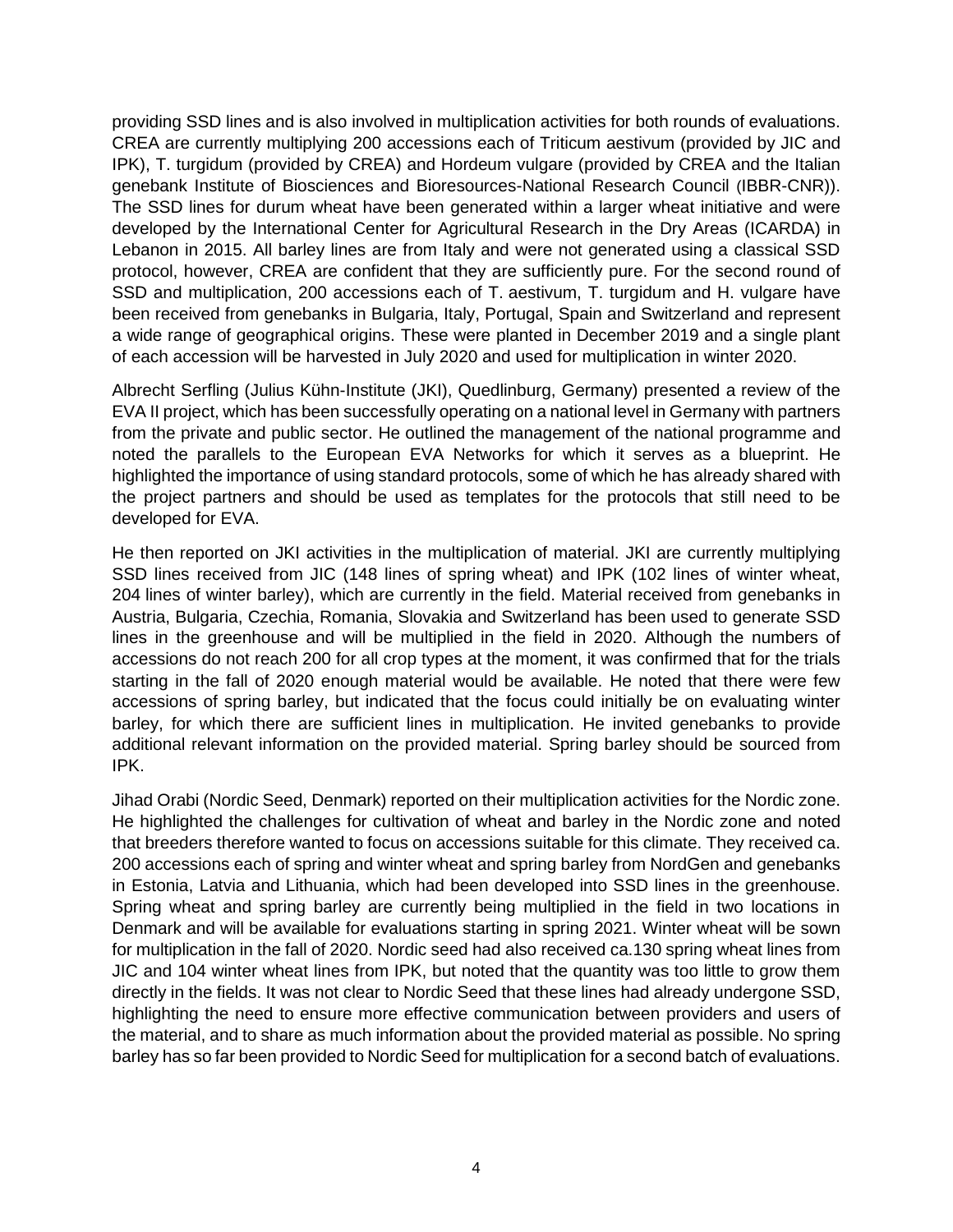providing SSD lines and is also involved in multiplication activities for both rounds of evaluations. CREA are currently multiplying 200 accessions each of *Triticum aestivum* (provided by JIC and IPK), *T. turgidum* (provided by CREA) and *Hordeum vulgare* (provided by CREA and the Italian genebank Institute of Biosciences and Bioresources-National Research Council (IBBR-CNR)). The SSD lines for durum wheat have been generated within a larger wheat initiative and were developed by the International Center for Agricultural Research in the Dry Areas (ICARDA) in Lebanon in 2015. All barley lines are from Italy and were not generated using a classical SSD protocol, however, CREA are confident that they are sufficiently pure. For the second round of SSD and multiplication, 200 accessions each of *T. aestivum*, *T. turgidum* and *H. vulgare* have been received from genebanks in Bulgaria, Italy, Portugal, Spain and Switzerland and represent a wide range of geographical origins. These were planted in December 2019 and a single plant of each accession will be harvested in July 2020 and used for multiplication in winter 2020.

Albrecht Serfling (Julius Kühn-Institute (JKI), Quedlinburg, Germany) presented a review of the EVA II project, which has been successfully operating on a national level in Germany with partners from the private and public sector. He outlined the management of the national programme and noted the parallels to the European EVA Networks for which it serves as a blueprint. He highlighted the importance of using standard protocols, some of which he has already shared with the project partners and should be used as templates for the protocols that still need to be developed for EVA.

He then reported on JKI activities in the multiplication of material. JKI are currently multiplying SSD lines received from JIC (148 lines of spring wheat) and IPK (102 lines of winter wheat, 204 lines of winter barley), which are currently in the field. Material received from genebanks in Austria, Bulgaria, Czechia, Romania, Slovakia and Switzerland has been used to generate SSD lines in the greenhouse and will be multiplied in the field in 2020. Although the numbers of accessions do not reach 200 for all crop types at the moment, it was confirmed that for the trials starting in the fall of 2020 enough material would be available. He noted that there were few accessions of spring barley, but indicated that the focus could initially be on evaluating winter barley, for which there are sufficient lines in multiplication. He invited genebanks to provide additional relevant information on the provided material. Spring barley should be sourced from IPK.

Jihad Orabi (Nordic Seed, Denmark) reported on their multiplication activities for the Nordic zone. He highlighted the challenges for cultivation of wheat and barley in the Nordic zone and noted that breeders therefore wanted to focus on accessions suitable for this climate. They received ca. 200 accessions each of spring and winter wheat and spring barley from NordGen and genebanks in Estonia, Latvia and Lithuania, which had been developed into SSD lines in the greenhouse. Spring wheat and spring barley are currently being multiplied in the field in two locations in Denmark and will be available for evaluations starting in spring 2021. Winter wheat will be sown for multiplication in the fall of 2020. Nordic seed had also received ca.130 spring wheat lines from JIC and 104 winter wheat lines from IPK, but noted that the quantity was too little to grow them directly in the fields. It was not clear to Nordic Seed that these lines had already undergone SSD, highlighting the need to ensure more effective communication between providers and users of the material, and to share as much information about the provided material as possible. No spring barley has so far been provided to Nordic Seed for multiplication for a second batch of evaluations.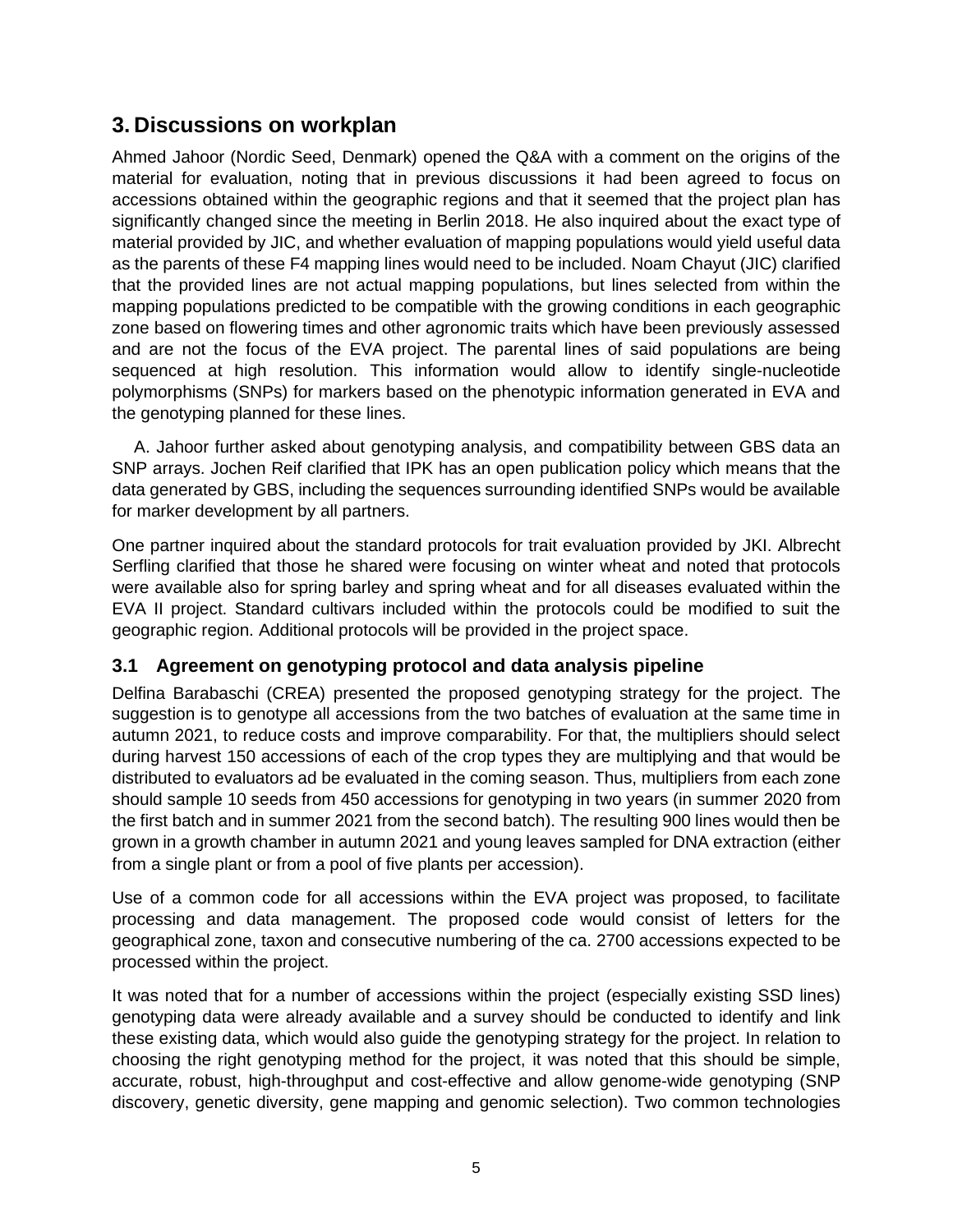### **3. Discussions on workplan**

Ahmed Jahoor (Nordic Seed, Denmark) opened the Q&A with a comment on the origins of the material for evaluation, noting that in previous discussions it had been agreed to focus on accessions obtained within the geographic regions and that it seemed that the project plan has significantly changed since the meeting in Berlin 2018. He also inquired about the exact type of material provided by JIC, and whether evaluation of mapping populations would yield useful data as the parents of these F4 mapping lines would need to be included. Noam Chayut (JIC) clarified that the provided lines are not actual mapping populations, but lines selected from within the mapping populations predicted to be compatible with the growing conditions in each geographic zone based on flowering times and other agronomic traits which have been previously assessed and are not the focus of the EVA project. The parental lines of said populations are being sequenced at high resolution. This information would allow to identify single-nucleotide polymorphisms (SNPs) for markers based on the phenotypic information generated in EVA and the genotyping planned for these lines.

A. Jahoor further asked about genotyping analysis, and compatibility between GBS data an SNP arrays. Jochen Reif clarified that IPK has an open publication policy which means that the data generated by GBS, including the sequences surrounding identified SNPs would be available for marker development by all partners.

One partner inquired about the standard protocols for trait evaluation provided by JKI. Albrecht Serfling clarified that those he shared were focusing on winter wheat and noted that protocols were available also for spring barley and spring wheat and for all diseases evaluated within the EVA II project. Standard cultivars included within the protocols could be modified to suit the geographic region. Additional protocols will be provided in the project space.

#### **3.1 Agreement on genotyping protocol and data analysis pipeline**

Delfina Barabaschi (CREA) presented the proposed genotyping strategy for the project. The suggestion is to genotype all accessions from the two batches of evaluation at the same time in autumn 2021, to reduce costs and improve comparability. For that, the multipliers should select during harvest 150 accessions of each of the crop types they are multiplying and that would be distributed to evaluators ad be evaluated in the coming season. Thus, multipliers from each zone should sample 10 seeds from 450 accessions for genotyping in two years (in summer 2020 from the first batch and in summer 2021 from the second batch). The resulting 900 lines would then be grown in a growth chamber in autumn 2021 and young leaves sampled for DNA extraction (either from a single plant or from a pool of five plants per accession).

Use of a common code for all accessions within the EVA project was proposed, to facilitate processing and data management. The proposed code would consist of letters for the geographical zone, taxon and consecutive numbering of the ca. 2700 accessions expected to be processed within the project.

It was noted that for a number of accessions within the project (especially existing SSD lines) genotyping data were already available and a survey should be conducted to identify and link these existing data, which would also guide the genotyping strategy for the project. In relation to choosing the right genotyping method for the project, it was noted that this should be simple, accurate, robust, high-throughput and cost-effective and allow genome-wide genotyping (SNP discovery, genetic diversity, gene mapping and genomic selection). Two common technologies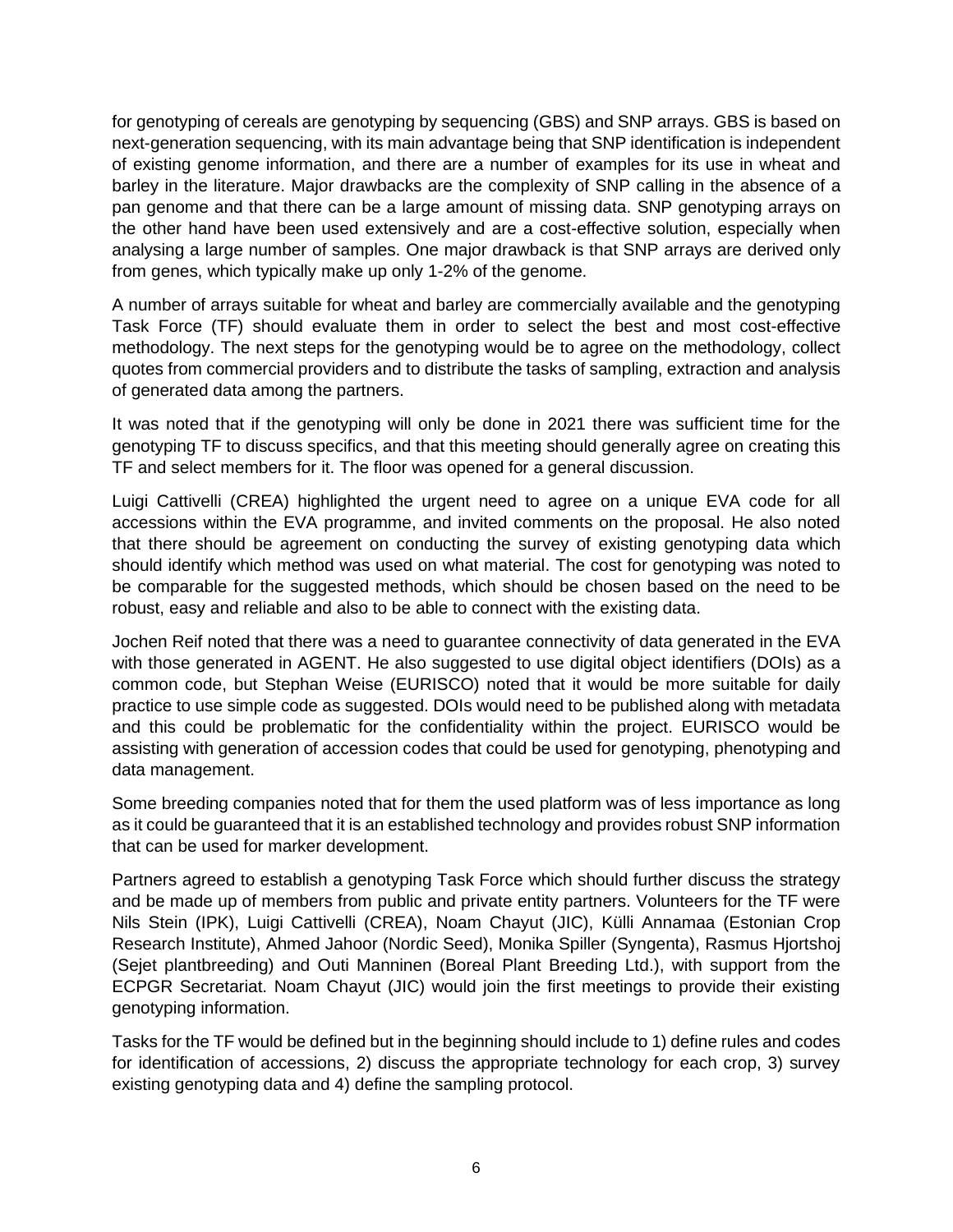for genotyping of cereals are genotyping by sequencing (GBS) and SNP arrays. GBS is based on next-generation sequencing, with its main advantage being that SNP identification is independent of existing genome information, and there are a number of examples for its use in wheat and barley in the literature. Major drawbacks are the complexity of SNP calling in the absence of a pan genome and that there can be a large amount of missing data. SNP genotyping arrays on the other hand have been used extensively and are a cost-effective solution, especially when analysing a large number of samples. One major drawback is that SNP arrays are derived only from genes, which typically make up only 1-2% of the genome.

A number of arrays suitable for wheat and barley are commercially available and the genotyping Task Force (TF) should evaluate them in order to select the best and most cost-effective methodology. The next steps for the genotyping would be to agree on the methodology, collect quotes from commercial providers and to distribute the tasks of sampling, extraction and analysis of generated data among the partners.

It was noted that if the genotyping will only be done in 2021 there was sufficient time for the genotyping TF to discuss specifics, and that this meeting should generally agree on creating this TF and select members for it. The floor was opened for a general discussion.

Luigi Cattivelli (CREA) highlighted the urgent need to agree on a unique EVA code for all accessions within the EVA programme, and invited comments on the proposal. He also noted that there should be agreement on conducting the survey of existing genotyping data which should identify which method was used on what material. The cost for genotyping was noted to be comparable for the suggested methods, which should be chosen based on the need to be robust, easy and reliable and also to be able to connect with the existing data.

Jochen Reif noted that there was a need to guarantee connectivity of data generated in the EVA with those generated in AGENT. He also suggested to use digital object identifiers (DOIs) as a common code, but Stephan Weise (EURISCO) noted that it would be more suitable for daily practice to use simple code as suggested. DOIs would need to be published along with metadata and this could be problematic for the confidentiality within the project. EURISCO would be assisting with generation of accession codes that could be used for genotyping, phenotyping and data management.

Some breeding companies noted that for them the used platform was of less importance as long as it could be guaranteed that it is an established technology and provides robust SNP information that can be used for marker development.

Partners agreed to establish a genotyping Task Force which should further discuss the strategy and be made up of members from public and private entity partners. Volunteers for the TF were Nils Stein (IPK), Luigi Cattivelli (CREA), Noam Chayut (JIC), Külli Annamaa (Estonian Crop Research Institute), Ahmed Jahoor (Nordic Seed), Monika Spiller (Syngenta), Rasmus Hjortshoj (Sejet plantbreeding) and Outi Manninen (Boreal Plant Breeding Ltd.), with support from the ECPGR Secretariat. Noam Chayut (JIC) would join the first meetings to provide their existing genotyping information.

Tasks for the TF would be defined but in the beginning should include to 1) define rules and codes for identification of accessions, 2) discuss the appropriate technology for each crop, 3) survey existing genotyping data and 4) define the sampling protocol.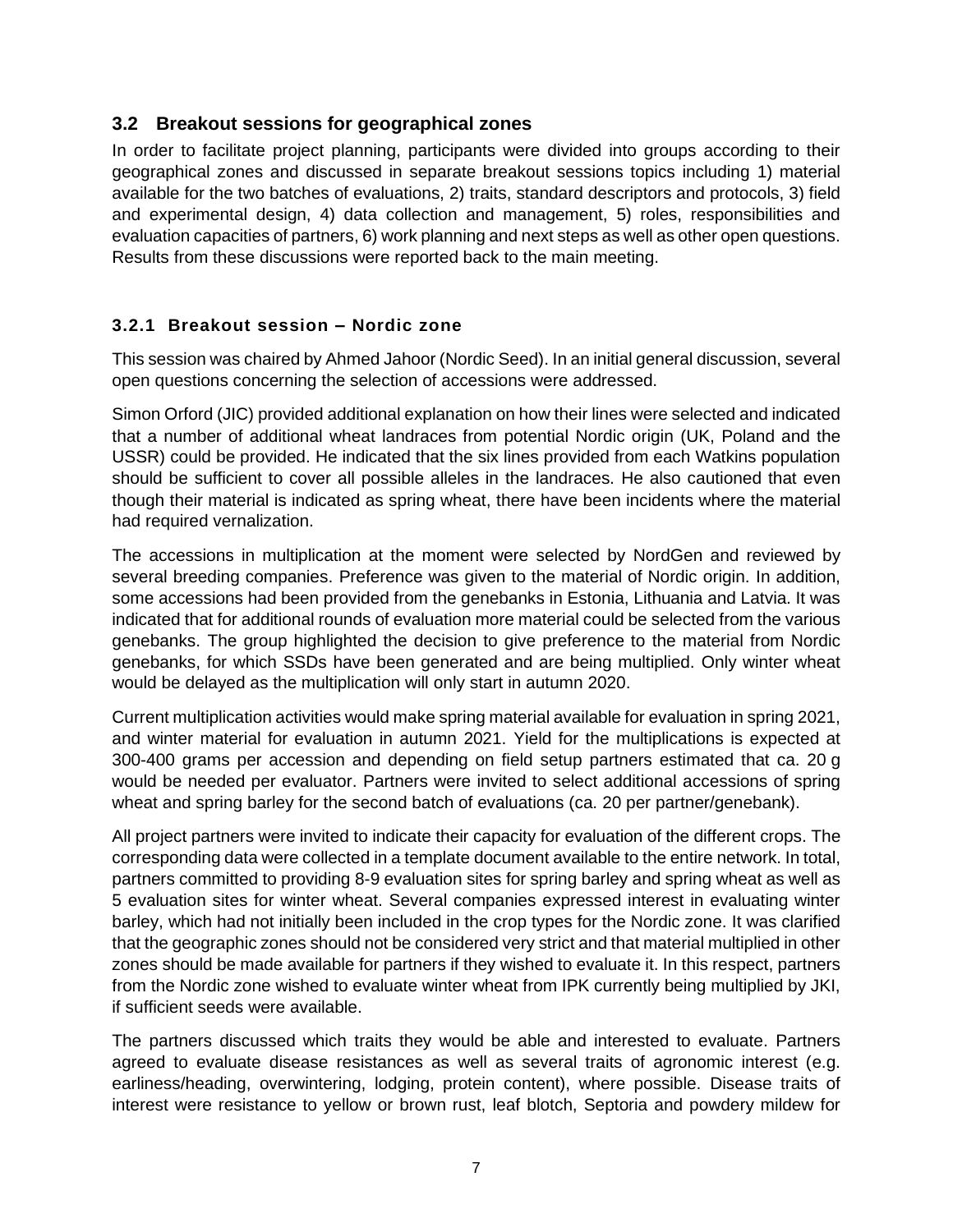#### **3.2 Breakout sessions for geographical zones**

In order to facilitate project planning, participants were divided into groups according to their geographical zones and discussed in separate breakout sessions topics including 1) material available for the two batches of evaluations, 2) traits, standard descriptors and protocols, 3) field and experimental design, 4) data collection and management, 5) roles, responsibilities and evaluation capacities of partners, 6) work planning and next steps as well as other open questions. Results from these discussions were reported back to the main meeting.

#### **3.2.1 Breakout session – Nordic zone**

This session was chaired by Ahmed Jahoor (Nordic Seed). In an initial general discussion, several open questions concerning the selection of accessions were addressed.

Simon Orford (JIC) provided additional explanation on how their lines were selected and indicated that a number of additional wheat landraces from potential Nordic origin (UK, Poland and the USSR) could be provided. He indicated that the six lines provided from each Watkins population should be sufficient to cover all possible alleles in the landraces. He also cautioned that even though their material is indicated as spring wheat, there have been incidents where the material had required vernalization.

The accessions in multiplication at the moment were selected by NordGen and reviewed by several breeding companies. Preference was given to the material of Nordic origin. In addition, some accessions had been provided from the genebanks in Estonia, Lithuania and Latvia. It was indicated that for additional rounds of evaluation more material could be selected from the various genebanks. The group highlighted the decision to give preference to the material from Nordic genebanks, for which SSDs have been generated and are being multiplied. Only winter wheat would be delayed as the multiplication will only start in autumn 2020.

Current multiplication activities would make spring material available for evaluation in spring 2021, and winter material for evaluation in autumn 2021. Yield for the multiplications is expected at 300-400 grams per accession and depending on field setup partners estimated that ca. 20 g would be needed per evaluator. Partners were invited to select additional accessions of spring wheat and spring barley for the second batch of evaluations (ca. 20 per partner/genebank).

All project partners were invited to indicate their capacity for evaluation of the different crops. The corresponding data were collected in a template document available to the entire network. In total, partners committed to providing 8-9 evaluation sites for spring barley and spring wheat as well as 5 evaluation sites for winter wheat. Several companies expressed interest in evaluating winter barley, which had not initially been included in the crop types for the Nordic zone. It was clarified that the geographic zones should not be considered very strict and that material multiplied in other zones should be made available for partners if they wished to evaluate it. In this respect, partners from the Nordic zone wished to evaluate winter wheat from IPK currently being multiplied by JKI, if sufficient seeds were available.

The partners discussed which traits they would be able and interested to evaluate. Partners agreed to evaluate disease resistances as well as several traits of agronomic interest (e.g. earliness/heading, overwintering, lodging, protein content), where possible. Disease traits of interest were resistance to yellow or brown rust, leaf blotch, *Septoria* and powdery mildew for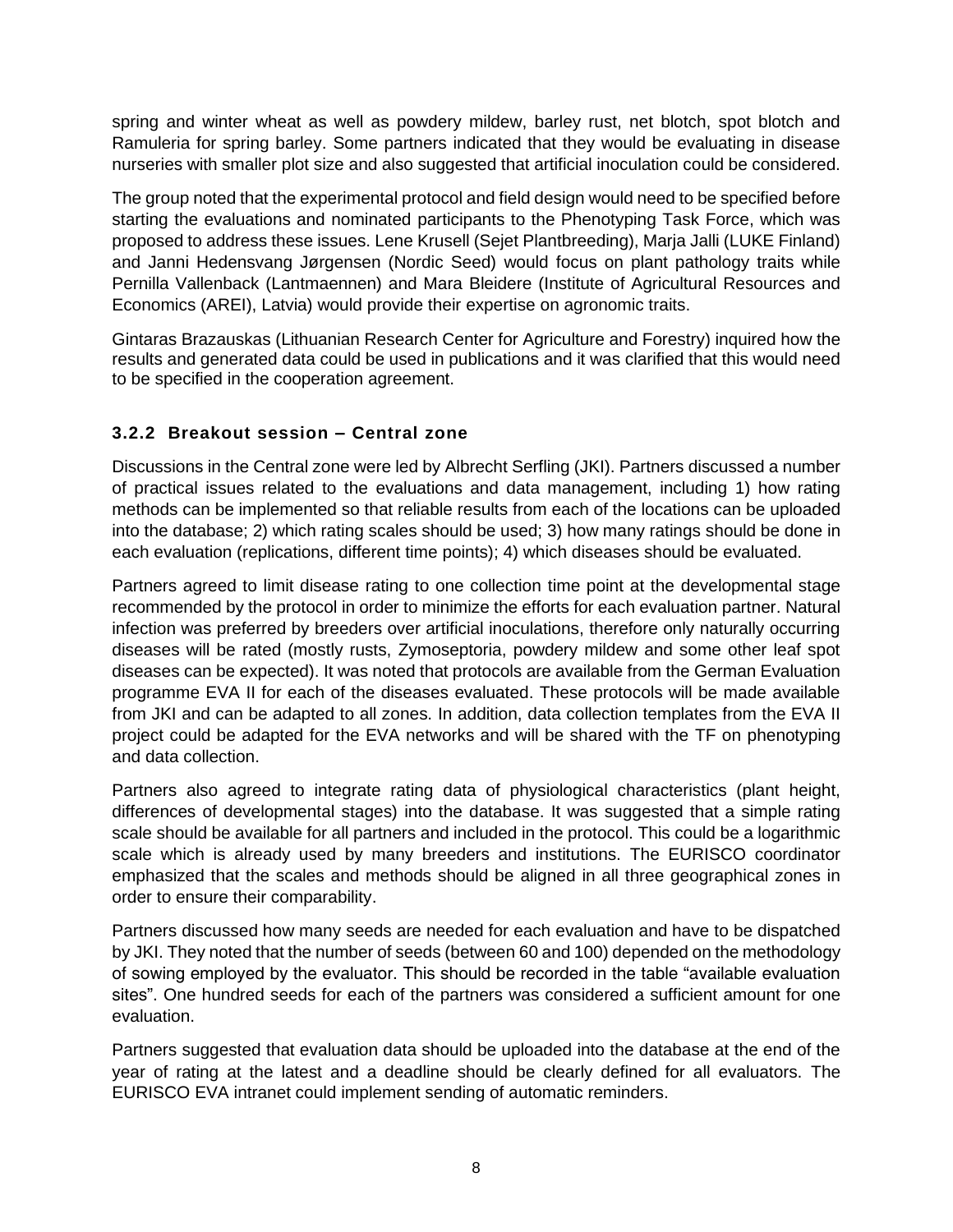spring and winter wheat as well as powdery mildew, barley rust, net blotch, spot blotch and *Ramuleria* for spring barley. Some partners indicated that they would be evaluating in disease nurseries with smaller plot size and also suggested that artificial inoculation could be considered.

The group noted that the experimental protocol and field design would need to be specified before starting the evaluations and nominated participants to the Phenotyping Task Force, which was proposed to address these issues. Lene Krusell (Sejet Plantbreeding), Marja Jalli (LUKE Finland) and Janni Hedensvang Jørgensen (Nordic Seed) would focus on plant pathology traits while Pernilla Vallenback (Lantmaennen) and Mara Bleidere (Institute of Agricultural Resources and Economics (AREI), Latvia) would provide their expertise on agronomic traits.

Gintaras Brazauskas (Lithuanian Research Center for Agriculture and Forestry) inquired how the results and generated data could be used in publications and it was clarified that this would need to be specified in the cooperation agreement.

#### **3.2.2 Breakout session – Central zone**

Discussions in the Central zone were led by Albrecht Serfling (JKI). Partners discussed a number of practical issues related to the evaluations and data management, including 1) how rating methods can be implemented so that reliable results from each of the locations can be uploaded into the database; 2) which rating scales should be used; 3) how many ratings should be done in each evaluation (replications, different time points); 4) which diseases should be evaluated.

Partners agreed to limit disease rating to one collection time point at the developmental stage recommended by the protocol in order to minimize the efforts for each evaluation partner. Natural infection was preferred by breeders over artificial inoculations, therefore only naturally occurring diseases will be rated (mostly rusts, *Zymoseptoria*, powdery mildew and some other leaf spot diseases can be expected). It was noted that protocols are available from the German Evaluation programme EVA II for each of the diseases evaluated. These protocols will be made available from JKI and can be adapted to all zones. In addition, data collection templates from the EVA II project could be adapted for the EVA networks and will be shared with the TF on phenotyping and data collection.

Partners also agreed to integrate rating data of physiological characteristics (plant height, differences of developmental stages) into the database. It was suggested that a simple rating scale should be available for all partners and included in the protocol. This could be a logarithmic scale which is already used by many breeders and institutions. The EURISCO coordinator emphasized that the scales and methods should be aligned in all three geographical zones in order to ensure their comparability.

Partners discussed how many seeds are needed for each evaluation and have to be dispatched by JKI. They noted that the number of seeds (between 60 and 100) depended on the methodology of sowing employed by the evaluator. This should be recorded in the table "available evaluation sites". One hundred seeds for each of the partners was considered a sufficient amount for one evaluation.

Partners suggested that evaluation data should be uploaded into the database at the end of the year of rating at the latest and a deadline should be clearly defined for all evaluators. The EURISCO EVA intranet could implement sending of automatic reminders.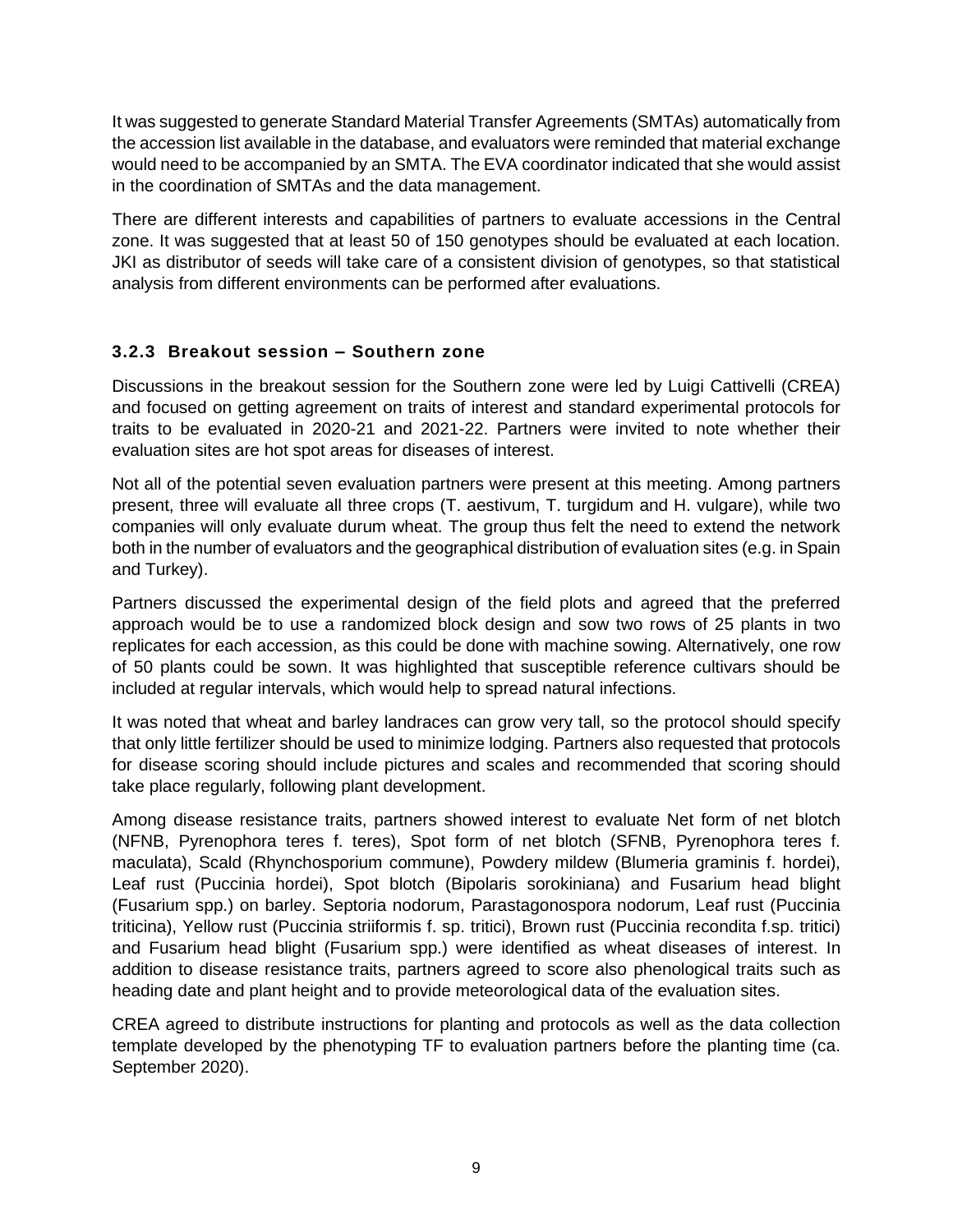It was suggested to generate Standard Material Transfer Agreements (SMTAs) automatically from the accession list available in the database, and evaluators were reminded that material exchange would need to be accompanied by an SMTA. The EVA coordinator indicated that she would assist in the coordination of SMTAs and the data management.

There are different interests and capabilities of partners to evaluate accessions in the Central zone. It was suggested that at least 50 of 150 genotypes should be evaluated at each location. JKI as distributor of seeds will take care of a consistent division of genotypes, so that statistical analysis from different environments can be performed after evaluations.

#### **3.2.3 Breakout session – Southern zone**

Discussions in the breakout session for the Southern zone were led by Luigi Cattivelli (CREA) and focused on getting agreement on traits of interest and standard experimental protocols for traits to be evaluated in 2020-21 and 2021-22. Partners were invited to note whether their evaluation sites are hot spot areas for diseases of interest.

Not all of the potential seven evaluation partners were present at this meeting. Among partners present, three will evaluate all three crops (*T. aestivum*, *T. turgidum* and *H. vulgare*), while two companies will only evaluate durum wheat. The group thus felt the need to extend the network both in the number of evaluators and the geographical distribution of evaluation sites (e.g. in Spain and Turkey).

Partners discussed the experimental design of the field plots and agreed that the preferred approach would be to use a randomized block design and sow two rows of 25 plants in two replicates for each accession, as this could be done with machine sowing. Alternatively, one row of 50 plants could be sown. It was highlighted that susceptible reference cultivars should be included at regular intervals, which would help to spread natural infections.

It was noted that wheat and barley landraces can grow very tall, so the protocol should specify that only little fertilizer should be used to minimize lodging. Partners also requested that protocols for disease scoring should include pictures and scales and recommended that scoring should take place regularly, following plant development.

Among disease resistance traits, partners showed interest to evaluate Net form of net blotch (NFNB, *Pyrenophora teres* f. *teres*), Spot form of net blotch (SFNB, *Pyrenophora teres* f. *maculata*), Scald (*Rhynchosporium commune*), Powdery mildew (*Blumeria graminis* f. *hordei*), Leaf rust (*Puccinia hordei)*, Spot blotch (*Bipolaris sorokiniana*) and Fusarium head blight (*Fusarium* spp.) on barley. *Septoria nodorum, Parastagonospora nodorum*, Leaf rust (*Puccinia triticina*), Yellow rust (*Puccinia striiformis* f. sp. *tritici*), Brown rust (*Puccinia recondita* f.sp. *tritici*) and Fusarium head blight (*Fusarium* spp.) were identified as wheat diseases of interest. In addition to disease resistance traits, partners agreed to score also phenological traits such as heading date and plant height and to provide meteorological data of the evaluation sites.

CREA agreed to distribute instructions for planting and protocols as well as the data collection template developed by the phenotyping TF to evaluation partners before the planting time (ca. September 2020).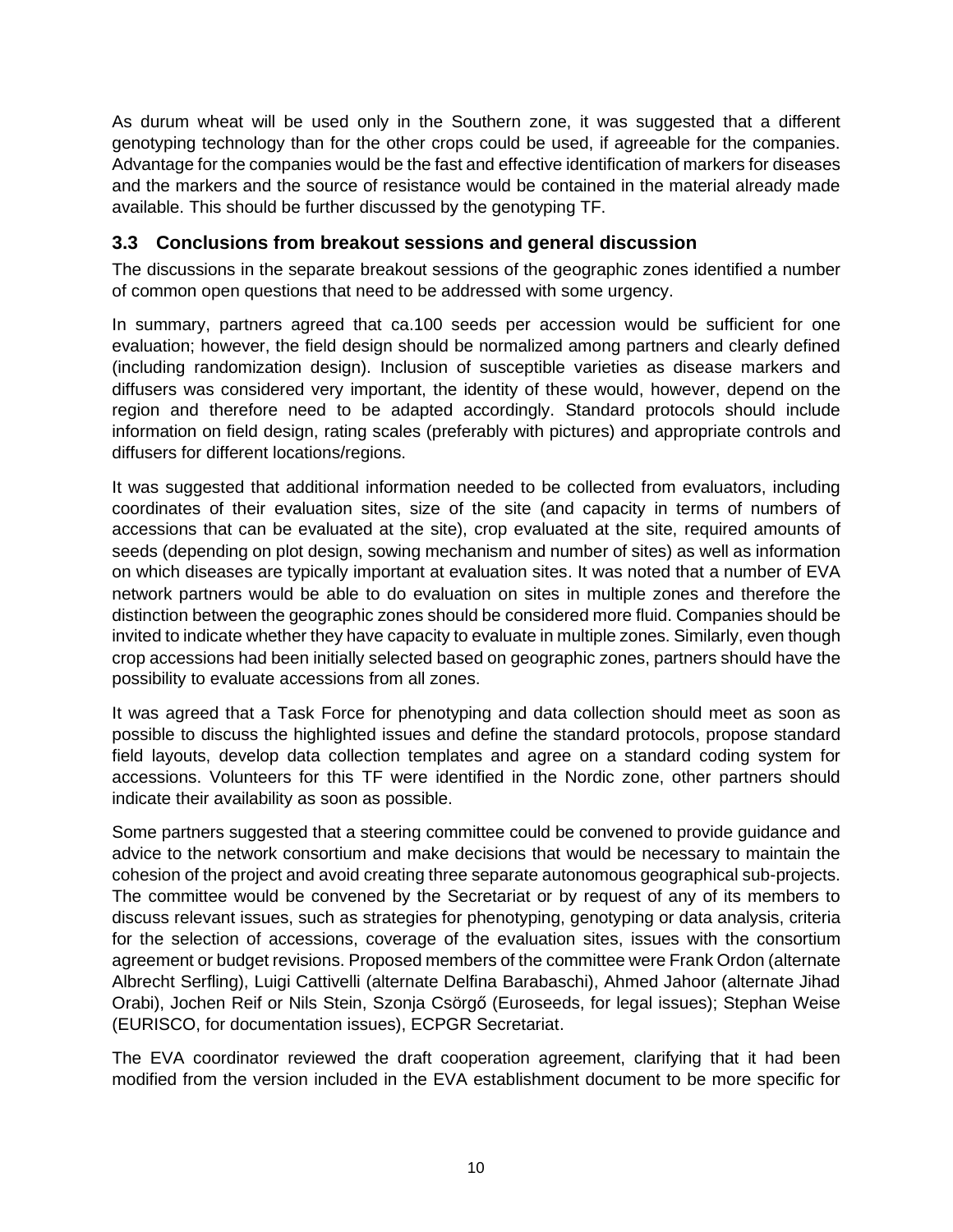As durum wheat will be used only in the Southern zone, it was suggested that a different genotyping technology than for the other crops could be used, if agreeable for the companies. Advantage for the companies would be the fast and effective identification of markers for diseases and the markers and the source of resistance would be contained in the material already made available. This should be further discussed by the genotyping TF.

#### **3.3 Conclusions from breakout sessions and general discussion**

The discussions in the separate breakout sessions of the geographic zones identified a number of common open questions that need to be addressed with some urgency.

In summary, partners agreed that ca.100 seeds per accession would be sufficient for one evaluation; however, the field design should be normalized among partners and clearly defined (including randomization design). Inclusion of susceptible varieties as disease markers and diffusers was considered very important, the identity of these would, however, depend on the region and therefore need to be adapted accordingly. Standard protocols should include information on field design, rating scales (preferably with pictures) and appropriate controls and diffusers for different locations/regions.

It was suggested that additional information needed to be collected from evaluators, including coordinates of their evaluation sites, size of the site (and capacity in terms of numbers of accessions that can be evaluated at the site), crop evaluated at the site, required amounts of seeds (depending on plot design, sowing mechanism and number of sites) as well as information on which diseases are typically important at evaluation sites. It was noted that a number of EVA network partners would be able to do evaluation on sites in multiple zones and therefore the distinction between the geographic zones should be considered more fluid. Companies should be invited to indicate whether they have capacity to evaluate in multiple zones. Similarly, even though crop accessions had been initially selected based on geographic zones, partners should have the possibility to evaluate accessions from all zones.

It was agreed that a Task Force for phenotyping and data collection should meet as soon as possible to discuss the highlighted issues and define the standard protocols, propose standard field layouts, develop data collection templates and agree on a standard coding system for accessions. Volunteers for this TF were identified in the Nordic zone, other partners should indicate their availability as soon as possible.

Some partners suggested that a steering committee could be convened to provide guidance and advice to the network consortium and make decisions that would be necessary to maintain the cohesion of the project and avoid creating three separate autonomous geographical sub-projects. The committee would be convened by the Secretariat or by request of any of its members to discuss relevant issues, such as strategies for phenotyping, genotyping or data analysis, criteria for the selection of accessions, coverage of the evaluation sites, issues with the consortium agreement or budget revisions. Proposed members of the committee were Frank Ordon (alternate Albrecht Serfling), Luigi Cattivelli (alternate Delfina Barabaschi), Ahmed Jahoor (alternate Jihad Orabi), Jochen Reif or Nils Stein, Szonja Csörgő (Euroseeds, for legal issues); Stephan Weise (EURISCO, for documentation issues), ECPGR Secretariat.

The EVA coordinator reviewed the draft cooperation agreement, clarifying that it had been modified from the version included in the EVA establishment document to be more specific for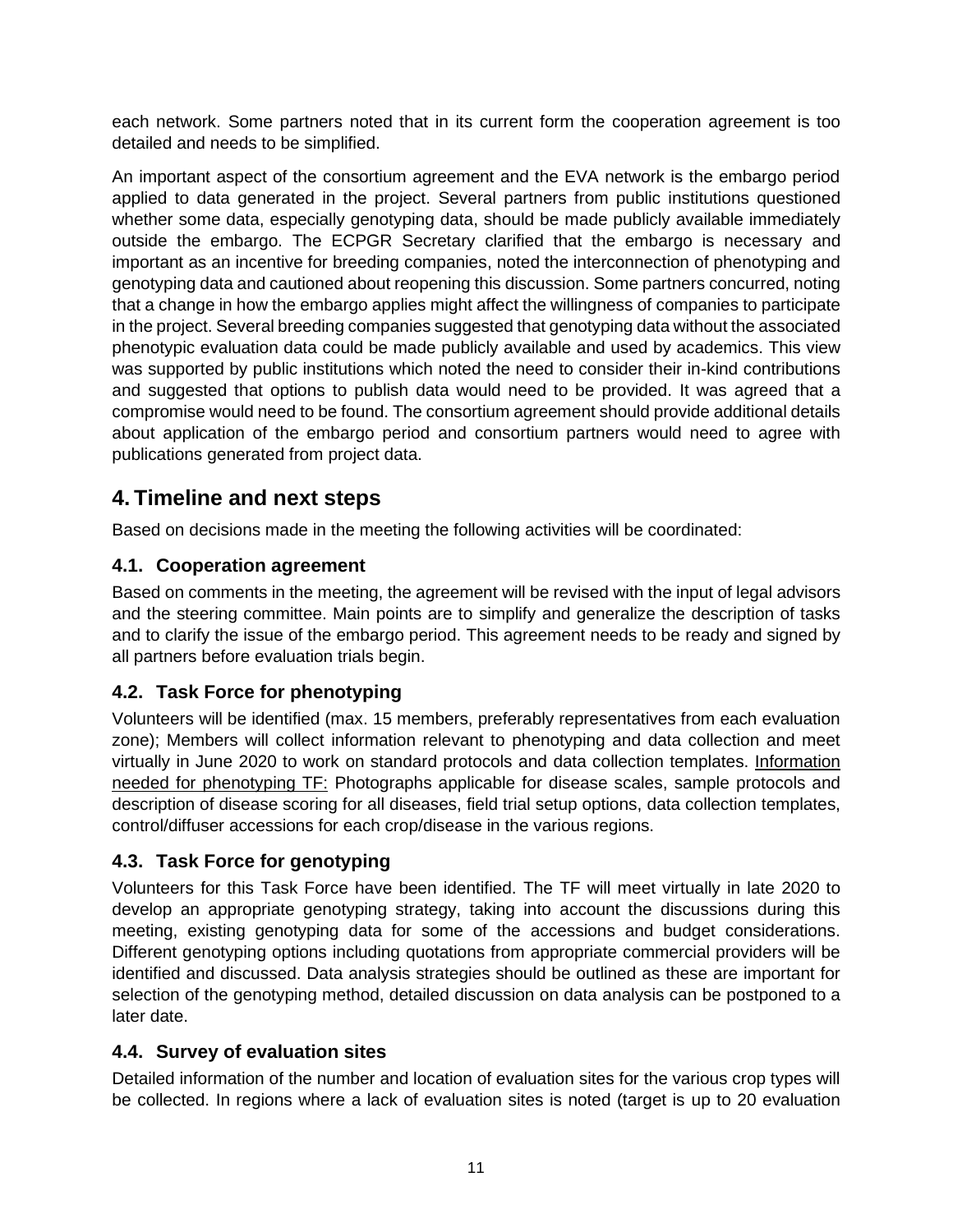each network. Some partners noted that in its current form the cooperation agreement is too detailed and needs to be simplified.

An important aspect of the consortium agreement and the EVA network is the embargo period applied to data generated in the project. Several partners from public institutions questioned whether some data, especially genotyping data, should be made publicly available immediately outside the embargo. The ECPGR Secretary clarified that the embargo is necessary and important as an incentive for breeding companies, noted the interconnection of phenotyping and genotyping data and cautioned about reopening this discussion. Some partners concurred, noting that a change in how the embargo applies might affect the willingness of companies to participate in the project. Several breeding companies suggested that genotyping data without the associated phenotypic evaluation data could be made publicly available and used by academics. This view was supported by public institutions which noted the need to consider their in-kind contributions and suggested that options to publish data would need to be provided. It was agreed that a compromise would need to be found. The consortium agreement should provide additional details about application of the embargo period and consortium partners would need to agree with publications generated from project data.

## **4. Timeline and next steps**

Based on decisions made in the meeting the following activities will be coordinated:

#### **4.1. Cooperation agreement**

Based on comments in the meeting, the agreement will be revised with the input of legal advisors and the steering committee. Main points are to simplify and generalize the description of tasks and to clarify the issue of the embargo period. This agreement needs to be ready and signed by all partners before evaluation trials begin.

#### **4.2. Task Force for phenotyping**

Volunteers will be identified (max. 15 members, preferably representatives from each evaluation zone); Members will collect information relevant to phenotyping and data collection and meet virtually in June 2020 to work on standard protocols and data collection templates. Information needed for phenotyping TF: Photographs applicable for disease scales, sample protocols and description of disease scoring for all diseases, field trial setup options, data collection templates, control/diffuser accessions for each crop/disease in the various regions.

#### **4.3. Task Force for genotyping**

Volunteers for this Task Force have been identified. The TF will meet virtually in late 2020 to develop an appropriate genotyping strategy, taking into account the discussions during this meeting, existing genotyping data for some of the accessions and budget considerations. Different genotyping options including quotations from appropriate commercial providers will be identified and discussed. Data analysis strategies should be outlined as these are important for selection of the genotyping method, detailed discussion on data analysis can be postponed to a later date.

#### **4.4. Survey of evaluation sites**

Detailed information of the number and location of evaluation sites for the various crop types will be collected. In regions where a lack of evaluation sites is noted (target is up to 20 evaluation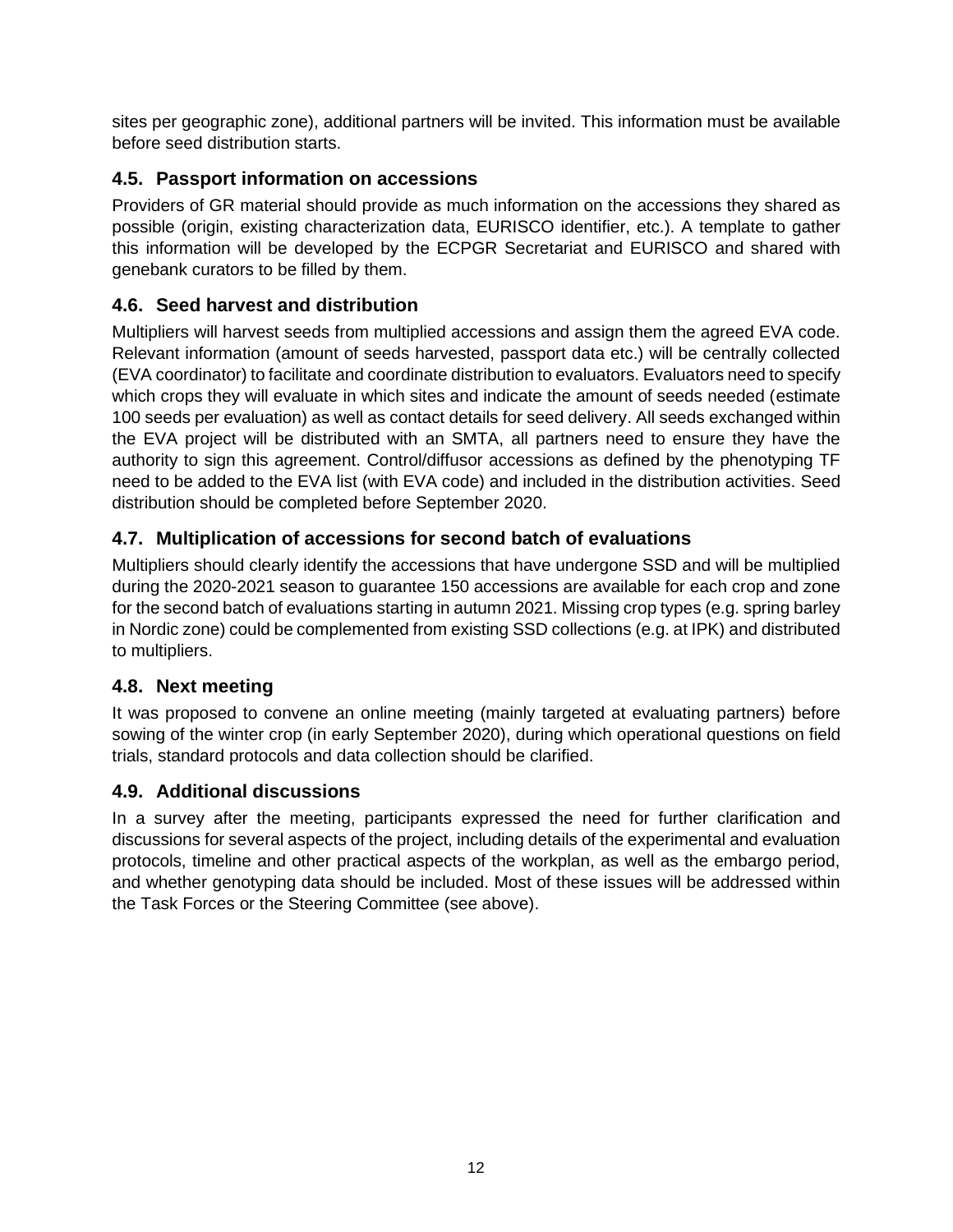sites per geographic zone), additional partners will be invited. This information must be available before seed distribution starts.

#### **4.5. Passport information on accessions**

Providers of GR material should provide as much information on the accessions they shared as possible (origin, existing characterization data, EURISCO identifier, etc.). A template to gather this information will be developed by the ECPGR Secretariat and EURISCO and shared with genebank curators to be filled by them.

#### **4.6. Seed harvest and distribution**

Multipliers will harvest seeds from multiplied accessions and assign them the agreed EVA code. Relevant information (amount of seeds harvested, passport data etc.) will be centrally collected (EVA coordinator) to facilitate and coordinate distribution to evaluators. Evaluators need to specify which crops they will evaluate in which sites and indicate the amount of seeds needed (estimate 100 seeds per evaluation) as well as contact details for seed delivery. All seeds exchanged within the EVA project will be distributed with an SMTA, all partners need to ensure they have the authority to sign this agreement. Control/diffusor accessions as defined by the phenotyping TF need to be added to the EVA list (with EVA code) and included in the distribution activities. Seed distribution should be completed before September 2020.

#### **4.7. Multiplication of accessions for second batch of evaluations**

Multipliers should clearly identify the accessions that have undergone SSD and will be multiplied during the 2020-2021 season to guarantee 150 accessions are available for each crop and zone for the second batch of evaluations starting in autumn 2021. Missing crop types (e.g. spring barley in Nordic zone) could be complemented from existing SSD collections (e.g. at IPK) and distributed to multipliers.

#### **4.8. Next meeting**

It was proposed to convene an online meeting (mainly targeted at evaluating partners) before sowing of the winter crop (in early September 2020), during which operational questions on field trials, standard protocols and data collection should be clarified.

#### **4.9. Additional discussions**

In a survey after the meeting, participants expressed the need for further clarification and discussions for several aspects of the project, including details of the experimental and evaluation protocols, timeline and other practical aspects of the workplan, as well as the embargo period, and whether genotyping data should be included. Most of these issues will be addressed within the Task Forces or the Steering Committee (see above).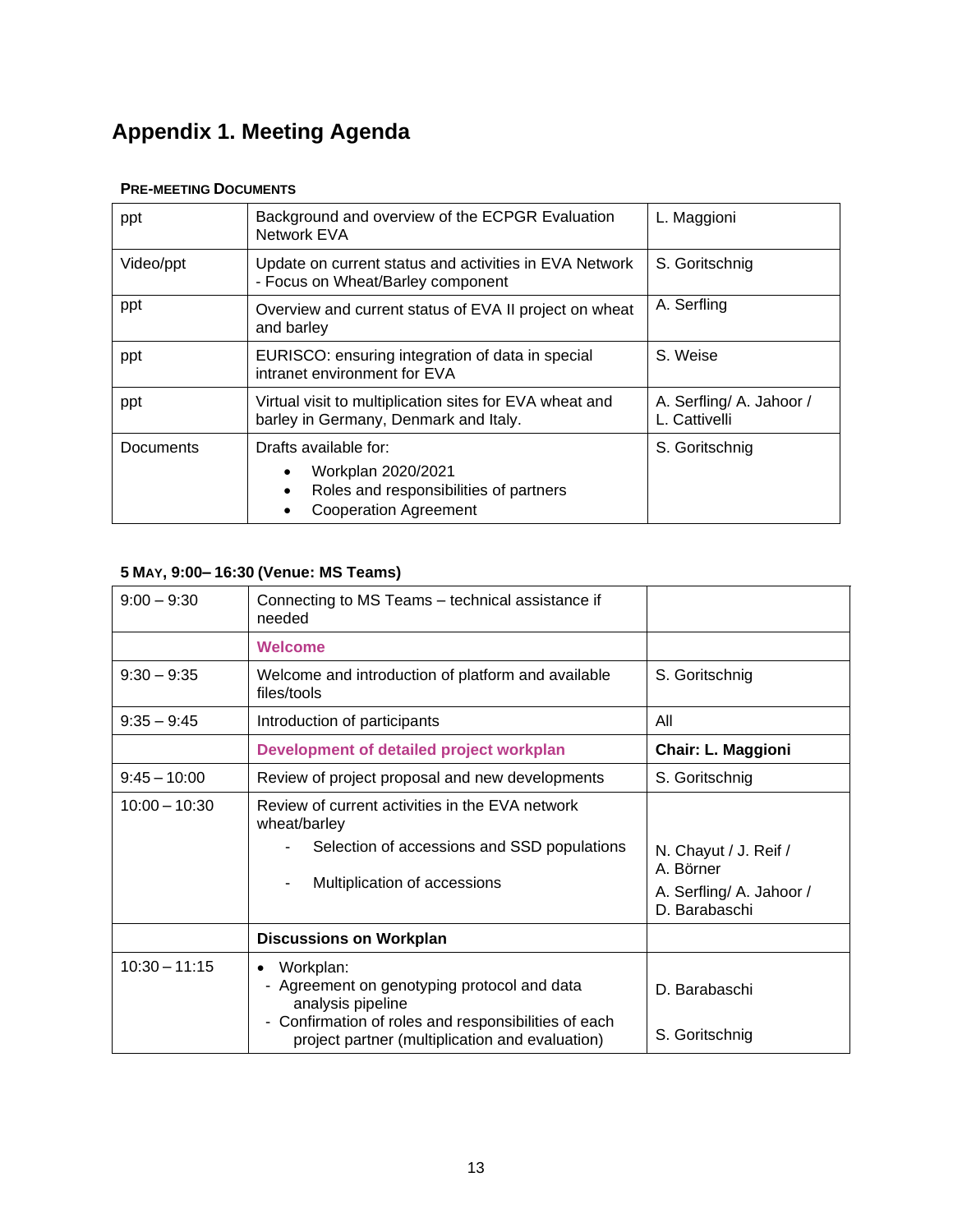## **Appendix 1. Meeting Agenda**

#### **PRE-MEETING DOCUMENTS**

| ppt       | Background and overview of the ECPGR Evaluation<br>Network EVA                                                        | L. Maggioni                               |
|-----------|-----------------------------------------------------------------------------------------------------------------------|-------------------------------------------|
| Video/ppt | Update on current status and activities in EVA Network<br>- Focus on Wheat/Barley component                           | S. Goritschnig                            |
| ppt       | Overview and current status of EVA II project on wheat<br>and barley                                                  | A. Serfling                               |
| ppt       | EURISCO: ensuring integration of data in special<br>intranet environment for EVA                                      | S. Weise                                  |
| ppt       | Virtual visit to multiplication sites for EVA wheat and<br>barley in Germany, Denmark and Italy.                      | A. Serfling/ A. Jahoor /<br>L. Cattivelli |
| Documents | Drafts available for:<br>Workplan 2020/2021<br>Roles and responsibilities of partners<br><b>Cooperation Agreement</b> | S. Goritschnig                            |

#### **5 MAY, 9:00– 16:30 (Venue: MS Teams)**

| $9:00 - 9:30$   | Connecting to MS Teams - technical assistance if<br>needed                                                                                                                                            |                                                                                 |
|-----------------|-------------------------------------------------------------------------------------------------------------------------------------------------------------------------------------------------------|---------------------------------------------------------------------------------|
|                 | <b>Welcome</b>                                                                                                                                                                                        |                                                                                 |
| $9:30 - 9:35$   | Welcome and introduction of platform and available<br>files/tools                                                                                                                                     | S. Goritschnig                                                                  |
| $9:35 - 9:45$   | Introduction of participants                                                                                                                                                                          | All                                                                             |
|                 | Development of detailed project workplan                                                                                                                                                              | <b>Chair: L. Maggioni</b>                                                       |
| $9:45 - 10:00$  | Review of project proposal and new developments                                                                                                                                                       | S. Goritschnig                                                                  |
| $10:00 - 10:30$ | Review of current activities in the EVA network<br>wheat/barley<br>Selection of accessions and SSD populations<br>Multiplication of accessions                                                        | N. Chayut / J. Reif /<br>A. Börner<br>A. Serfling/ A. Jahoor /<br>D. Barabaschi |
|                 | <b>Discussions on Workplan</b>                                                                                                                                                                        |                                                                                 |
| $10:30 - 11:15$ | Workplan:<br>$\bullet$<br>- Agreement on genotyping protocol and data<br>analysis pipeline<br>- Confirmation of roles and responsibilities of each<br>project partner (multiplication and evaluation) | D. Barabaschi<br>S. Goritschnig                                                 |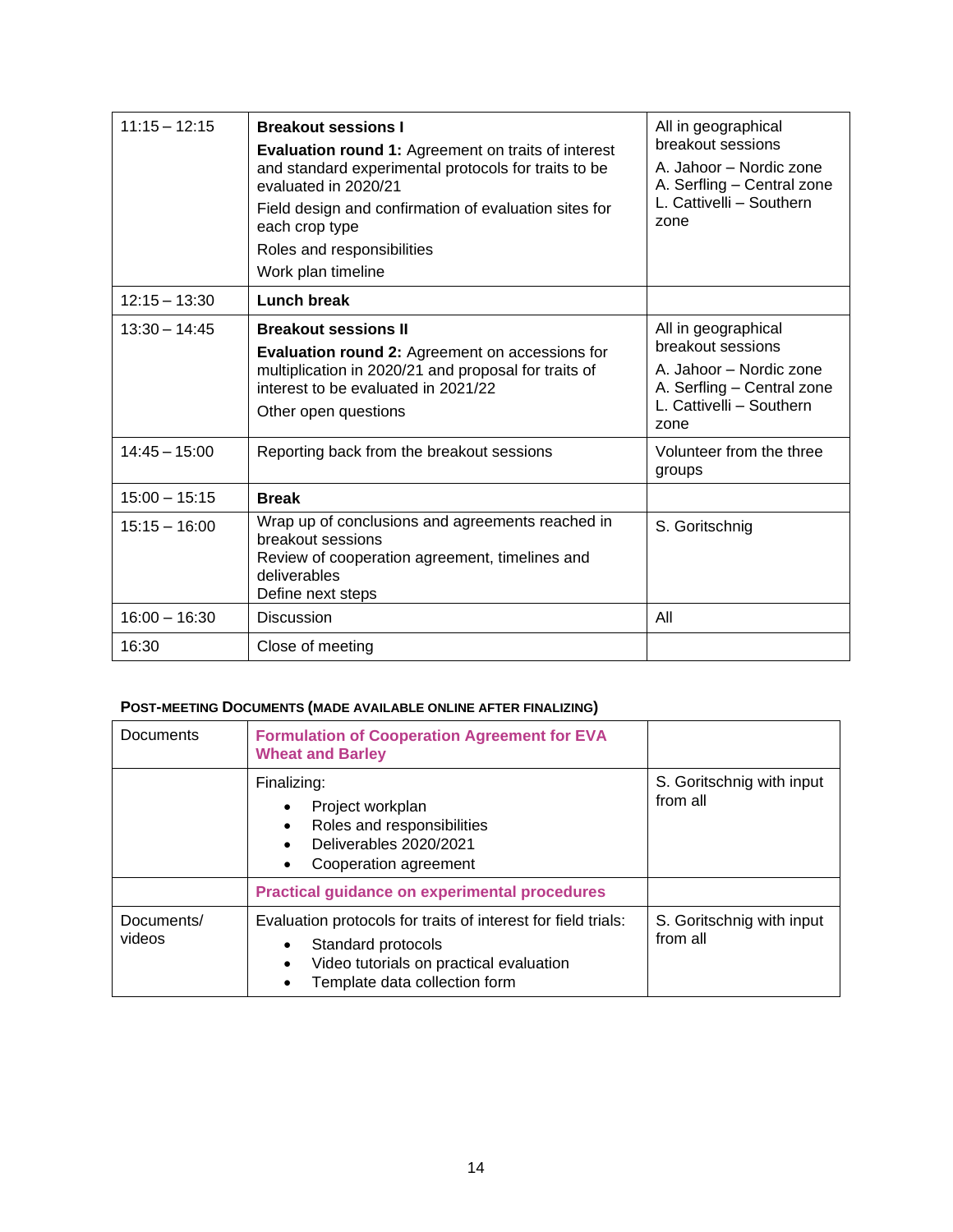| $11:15 - 12:15$ | <b>Breakout sessions I</b><br><b>Evaluation round 1: Agreement on traits of interest</b><br>and standard experimental protocols for traits to be<br>evaluated in 2020/21<br>Field design and confirmation of evaluation sites for<br>each crop type<br>Roles and responsibilities<br>Work plan timeline | All in geographical<br>breakout sessions<br>A. Jahoor - Nordic zone<br>A. Serfling - Central zone<br>L. Cattivelli - Southern<br>zone |
|-----------------|---------------------------------------------------------------------------------------------------------------------------------------------------------------------------------------------------------------------------------------------------------------------------------------------------------|---------------------------------------------------------------------------------------------------------------------------------------|
| $12:15 - 13:30$ | <b>Lunch break</b>                                                                                                                                                                                                                                                                                      |                                                                                                                                       |
| $13:30 - 14:45$ | <b>Breakout sessions II</b><br><b>Evaluation round 2: Agreement on accessions for</b><br>multiplication in 2020/21 and proposal for traits of<br>interest to be evaluated in 2021/22<br>Other open questions                                                                                            | All in geographical<br>breakout sessions<br>A. Jahoor - Nordic zone<br>A. Serfling - Central zone<br>L. Cattivelli - Southern<br>zone |
| $14:45 - 15:00$ | Reporting back from the breakout sessions                                                                                                                                                                                                                                                               | Volunteer from the three<br>groups                                                                                                    |
| $15:00 - 15:15$ | <b>Break</b>                                                                                                                                                                                                                                                                                            |                                                                                                                                       |
| $15:15 - 16:00$ | Wrap up of conclusions and agreements reached in<br>breakout sessions<br>Review of cooperation agreement, timelines and<br>deliverables<br>Define next steps                                                                                                                                            | S. Goritschnig                                                                                                                        |
| $16:00 - 16:30$ | <b>Discussion</b>                                                                                                                                                                                                                                                                                       | All                                                                                                                                   |
| 16:30           | Close of meeting                                                                                                                                                                                                                                                                                        |                                                                                                                                       |

#### **POST-MEETING DOCUMENTS (MADE AVAILABLE ONLINE AFTER FINALIZING)**

| <b>Documents</b>     | <b>Formulation of Cooperation Agreement for EVA</b><br><b>Wheat and Barley</b>                                                                                               |                                       |
|----------------------|------------------------------------------------------------------------------------------------------------------------------------------------------------------------------|---------------------------------------|
|                      | Finalizing:<br>Project workplan<br>$\bullet$<br>Roles and responsibilities<br>Deliverables 2020/2021<br>Cooperation agreement                                                | S. Goritschnig with input<br>from all |
|                      | <b>Practical guidance on experimental procedures</b>                                                                                                                         |                                       |
| Documents/<br>videos | Evaluation protocols for traits of interest for field trials:<br>Standard protocols<br>Video tutorials on practical evaluation<br>$\bullet$<br>Template data collection form | S. Goritschnig with input<br>from all |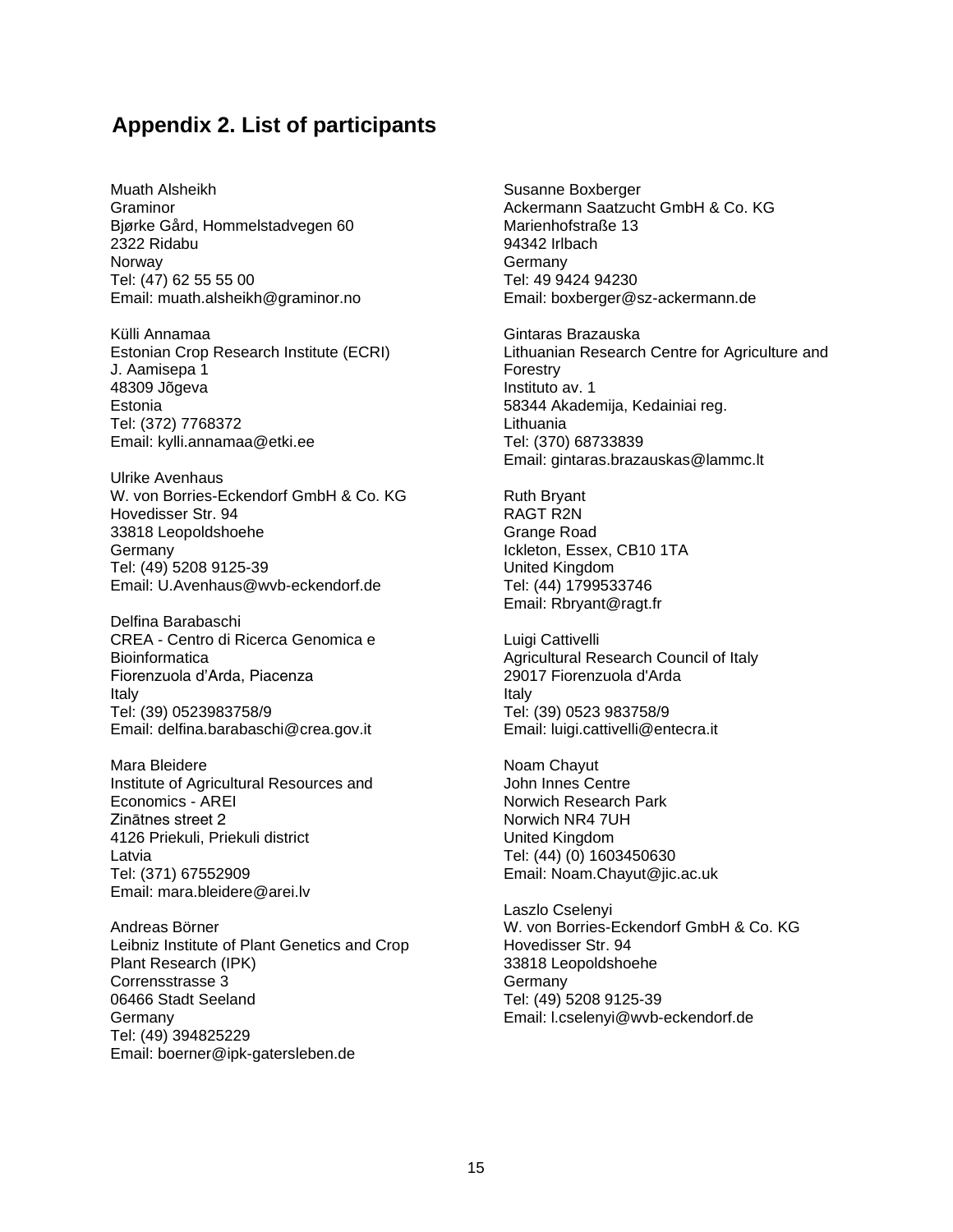### **Appendix 2. List of participants**

Muath Alsheikh **Graminor** Bjørke Gård, Hommelstadvegen 60 2322 Ridabu **Norway** Tel: (47) 62 55 55 00 Email: muath.alsheikh@graminor.no

Külli Annamaa Estonian Crop Research Institute (ECRI) J. Aamisepa 1 48309 Jõgeva Estonia Tel: (372) 7768372 Email: kylli.annamaa@etki.ee

Ulrike Avenhaus W. von Borries-Eckendorf GmbH & Co. KG Hovedisser Str. 94 33818 Leopoldshoehe Germany Tel: (49) 5208 9125-39 Email: [U.Avenhaus@wvb-eckendorf.de](mailto:U.Avenhaus@wvb-eckendorf.de)

Delfina Barabaschi CREA - Centro di Ricerca Genomica e **Bioinformatica** Fiorenzuola d'Arda, Piacenza Italy Tel: (39) 0523983758/9 Email: delfina.barabaschi@crea.gov.it

Mara Bleidere Institute of Agricultural Resources and Economics - AREI Zinātnes street 2 4126 Priekuli, Priekuli district Latvia Tel: (371) 67552909 Email: mara.bleidere@arei.lv

Andreas Börner Leibniz Institute of Plant Genetics and Crop Plant Research (IPK) Corrensstrasse 3 06466 Stadt Seeland **Germany** Tel: (49) 394825229 Email: boerner@ipk-gatersleben.de

Susanne Boxberger Ackermann Saatzucht GmbH & Co. KG Marienhofstraße 13 94342 Irlbach Germany Tel: 49 9424 94230 Email: boxberger@sz-ackermann.de

Gintaras Brazauska Lithuanian Research Centre for Agriculture and Forestry Instituto av. 1 58344 Akademija, Kedainiai reg. Lithuania Tel: (370) 68733839 Email: gintaras.brazauskas@lammc.lt

Ruth Bryant RAGT R2N Grange Road Ickleton, Essex, CB10 1TA United Kingdom Tel: (44) 1799533746 Email: Rbryant@ragt.fr

Luigi Cattivelli Agricultural Research Council of Italy 29017 Fiorenzuola d'Arda Italy Tel: (39) 0523 983758/9 Email: luigi.cattivelli@entecra.it

Noam Chayut John Innes Centre Norwich Research Park Norwich NR4 7UH United Kingdom Tel: (44) (0) 1603450630 Email: Noam.Chayut@jic.ac.uk

Laszlo Cselenyi W. von Borries-Eckendorf GmbH & Co. KG Hovedisser Str. 94 33818 Leopoldshoehe Germany Tel: (49) 5208 9125-39 Email: l.cselenyi@wvb-eckendorf.de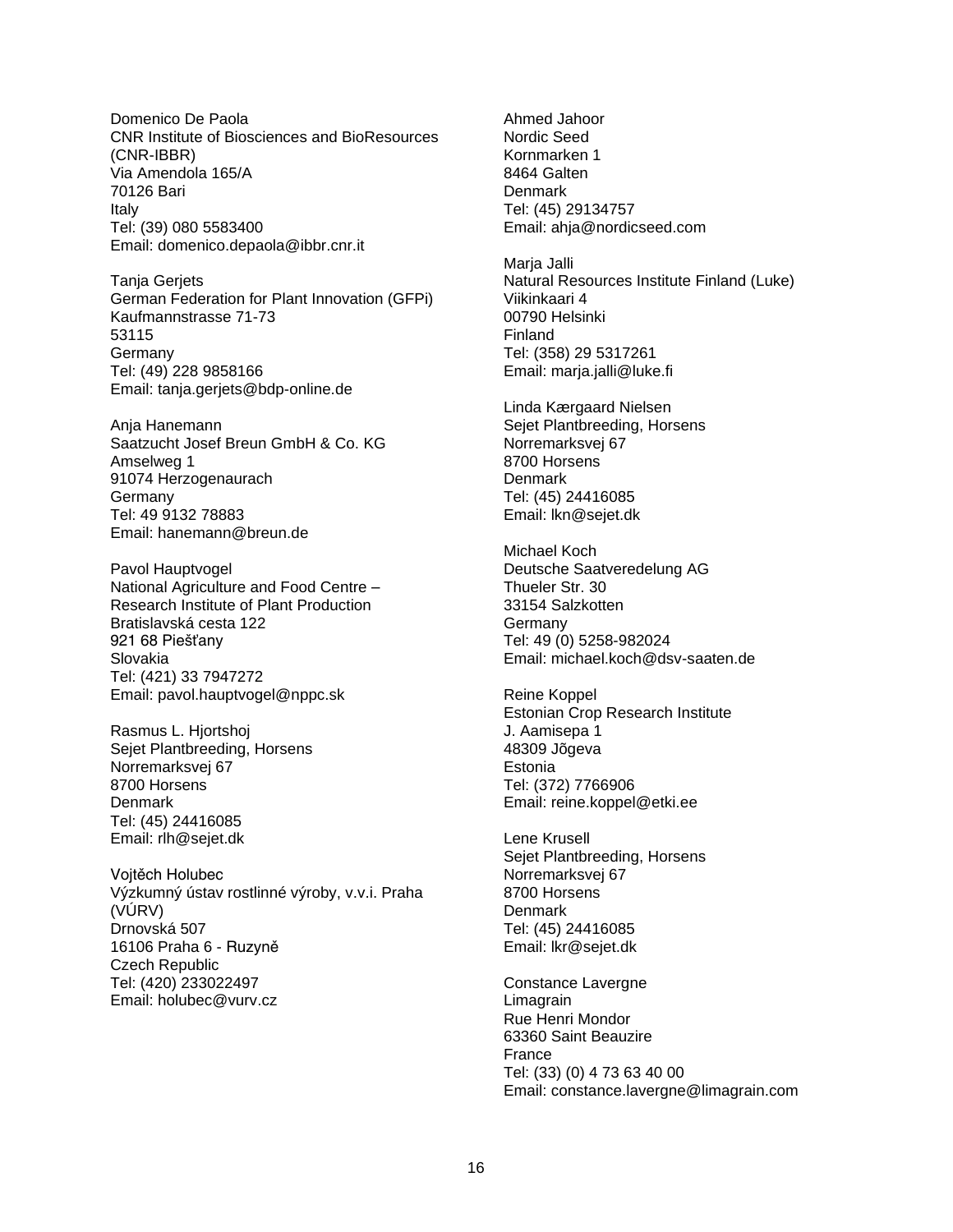Domenico De Paola CNR Institute of Biosciences and BioResources (CNR-IBBR) Via Amendola 165/A 70126 Bari Italy Tel: (39) 080 5583400 Email: domenico.depaola@ibbr.cnr.it

Tanja Gerjets German Federation for Plant Innovation (GFPi) Kaufmannstrasse 71-73 53115 Germany Tel: (49) 228 9858166 Email: tanja.gerjets@bdp-online.de

Anja Hanemann Saatzucht Josef Breun GmbH & Co. KG Amselweg 1 91074 Herzogenaurach Germany Tel: 49 9132 78883 Email: hanemann@breun.de

Pavol Hauptvogel National Agriculture and Food Centre – Research Institute of Plant Production Bratislavská cesta 122 921 68 Piešťany Slovakia Tel: (421) 33 7947272 Email: pavol.hauptvogel@nppc.sk

Rasmus L. Hjortshoj Sejet Plantbreeding, Horsens Norremarksvej 67 8700 Horsens **Denmark** Tel: (45) 24416085 Email: rlh@sejet.dk

Vojtěch Holubec Výzkumný ústav rostlinné výroby, v.v.i. Praha (VÚRV) Drnovská 507 16106 Praha 6 - Ruzyně Czech Republic Tel: (420) 233022497 Email: holubec@vurv.cz

Ahmed Jahoor Nordic Seed Kornmarken 1 8464 Galten Denmark Tel: (45) 29134757 Email: ahja@nordicseed.com

Maria Jalli Natural Resources Institute Finland (Luke) Viikinkaari 4 00790 Helsinki Finland Tel: (358) 29 5317261 Email: marja.jalli@luke.fi

Linda Kærgaard Nielsen Sejet Plantbreeding, Horsens Norremarksvej 67 8700 Horsens **Denmark** Tel: (45) 24416085 Email: lkn@sejet.dk

Michael Koch Deutsche Saatveredelung AG Thueler Str. 30 33154 Salzkotten **Germany** Tel: 49 (0) 5258-982024 Email: michael.koch@dsv-saaten.de

Reine Koppel Estonian Crop Research Institute J. Aamisepa 1 48309 Jõgeva Estonia Tel: (372) 7766906 Email: reine.koppel@etki.ee

Lene Krusell Sejet Plantbreeding, Horsens Norremarksvej 67 8700 Horsens Denmark Tel: (45) 24416085 Email: lkr@sejet.dk

Constance Lavergne Limagrain Rue Henri Mondor 63360 Saint Beauzire France Tel: (33) (0) 4 73 63 40 00 Email: constance.lavergne@limagrain.com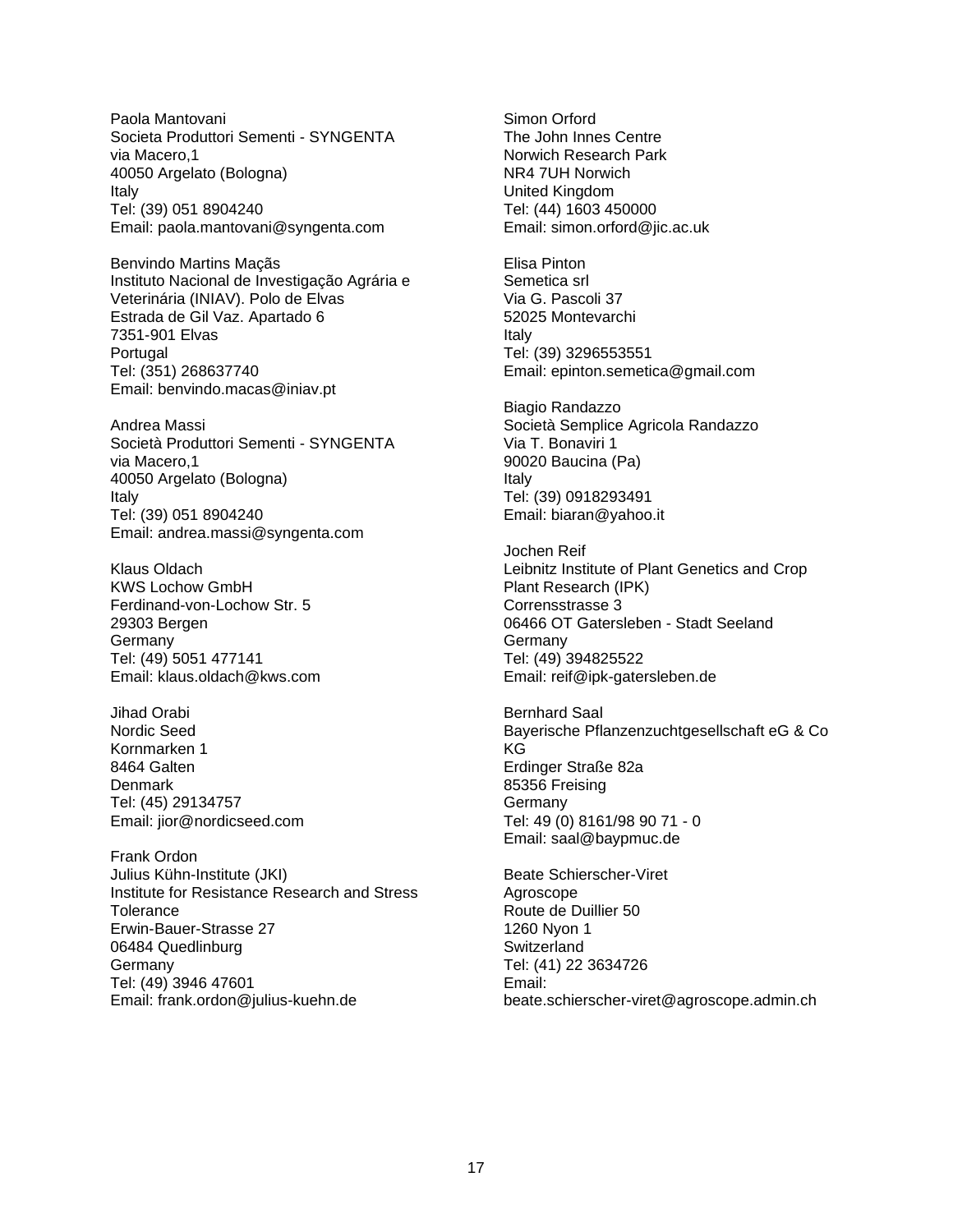Paola Mantovani Societa Produttori Sementi - SYNGENTA via Macero,1 40050 Argelato (Bologna) Italy Tel: (39) 051 8904240 Email: paola.mantovani@syngenta.com

Benvindo Martins Maçãs Instituto Nacional de Investigação Agrária e Veterinária (INIAV). Polo de Elvas Estrada de Gil Vaz. Apartado 6 7351-901 Elvas **Portugal** Tel: (351) 268637740 Email: benvindo.macas@iniav.pt

Andrea Massi Società Produttori Sementi - SYNGENTA via Macero,1 40050 Argelato (Bologna) Italy Tel: (39) 051 8904240 Email: andrea.massi@syngenta.com

Klaus Oldach KWS Lochow GmbH Ferdinand-von-Lochow Str. 5 29303 Bergen Germany Tel: (49) 5051 477141 Email: klaus.oldach@kws.com

Jihad Orabi Nordic Seed Kornmarken 1 8464 Galten **Denmark** Tel: (45) 29134757 Email: jior@nordicseed.com

Frank Ordon Julius Kühn-Institute (JKI) Institute for Resistance Research and Stress Tolerance Erwin-Bauer-Strasse 27 06484 Quedlinburg Germany Tel: (49) 3946 47601 Email: frank.ordon@julius-kuehn.de

Simon Orford The John Innes Centre Norwich Research Park NR4 7UH Norwich United Kingdom Tel: (44) 1603 450000 Email: simon.orford@jic.ac.uk

Elisa Pinton Semetica srl Via G. Pascoli 37 52025 Montevarchi Italy Tel: (39) 3296553551 Email: epinton.semetica@gmail.com

Biagio Randazzo Società Semplice Agricola Randazzo Via T. Bonaviri 1 90020 Baucina (Pa) Italy Tel: (39) 0918293491 Email: biaran@yahoo.it

Jochen Reif Leibnitz Institute of Plant Genetics and Crop Plant Research (IPK) Corrensstrasse 3 06466 OT Gatersleben - Stadt Seeland **Germany** Tel: (49) 394825522 Email: reif@ipk-gatersleben.de

Bernhard Saal Bayerische Pflanzenzuchtgesellschaft eG & Co KG Erdinger Straße 82a 85356 Freising **Germany** Tel: 49 (0) 8161/98 90 71 - 0 Email: saal@baypmuc.de

Beate Schierscher-Viret Agroscope Route de Duillier 50 1260 Nyon 1 **Switzerland** Tel: (41) 22 3634726 Email: beate.schierscher-viret@agroscope.admin.ch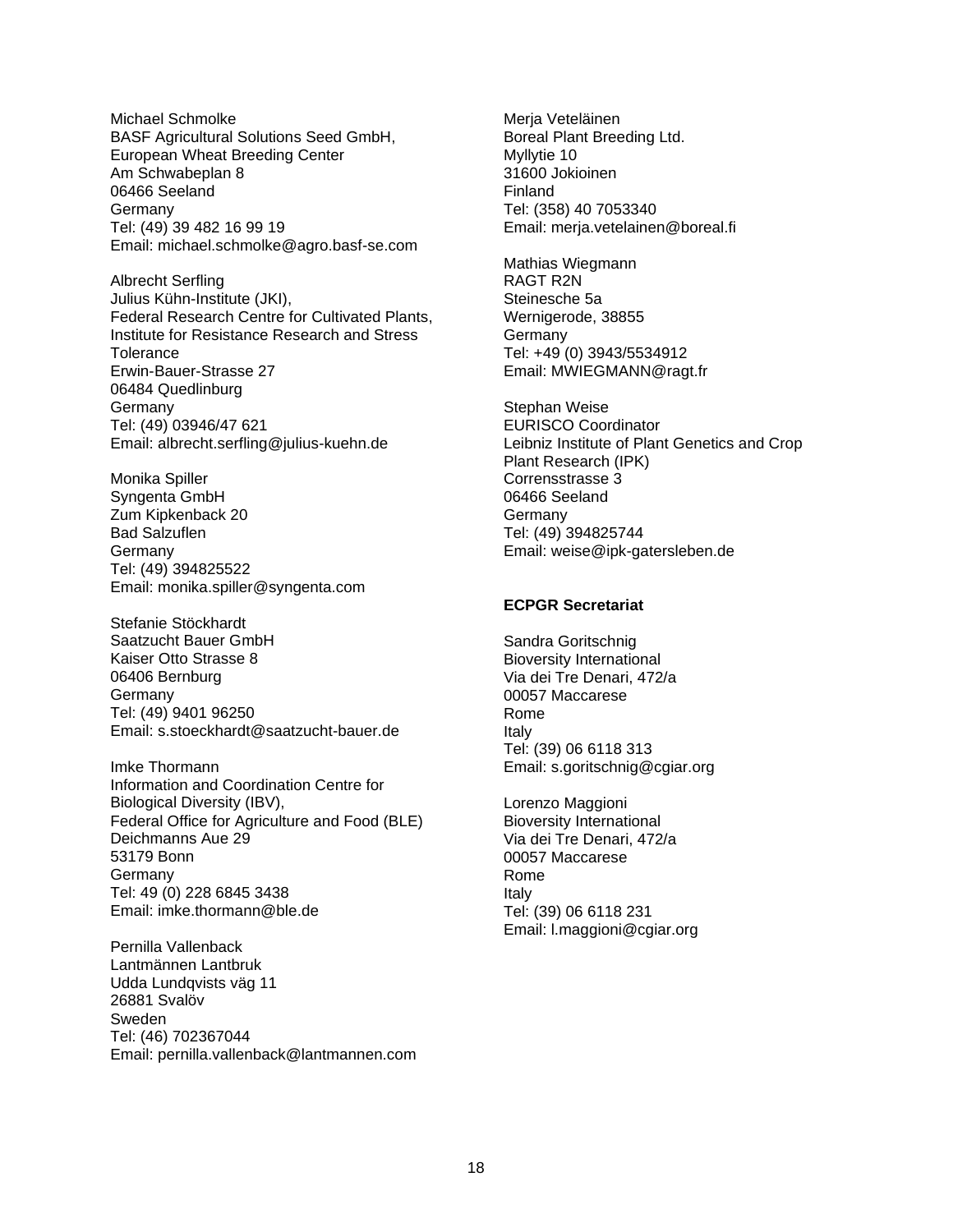Michael Schmolke BASF Agricultural Solutions Seed GmbH, European Wheat Breeding Center Am Schwabeplan 8 06466 Seeland Germany Tel: (49) 39 482 16 99 19 Email: michael.schmolke@agro.basf-se.com

Albrecht Serfling Julius Kühn-Institute (JKI), Federal Research Centre for Cultivated Plants, Institute for Resistance Research and Stress **Tolerance** Erwin-Bauer-Strasse 27 06484 Quedlinburg Germany Tel: (49) 03946/47 621 Email: albrecht.serfling@julius-kuehn.de

Monika Spiller Syngenta GmbH Zum Kipkenback 20 Bad Salzuflen Germany Tel: (49) 394825522 Email: monika.spiller@syngenta.com

Stefanie Stöckhardt Saatzucht Bauer GmbH Kaiser Otto Strasse 8 06406 Bernburg **Germany** Tel: (49) 9401 96250 Email: [s.stoeckhardt@saatzucht-bauer.de](mailto:s.stoeckhardt@saatzucht-bauer.de)

Imke Thormann Information and Coordination Centre for Biological Diversity (IBV), Federal Office for Agriculture and Food (BLE) Deichmanns Aue 29 53179 Bonn Germany Tel: 49 (0) 228 6845 3438 Email: imke.thormann@ble.de

Pernilla Vallenback Lantmännen Lantbruk Udda Lundqvists väg 11 26881 Svalöv Sweden Tel: (46) 702367044 Email: pernilla.vallenback@lantmannen.com

Merja Veteläinen Boreal Plant Breeding Ltd. Myllytie 10 31600 Jokioinen Finland Tel: (358) 40 7053340 Email: merja.vetelainen@boreal.fi

Mathias Wiegmann RAGT R2N Steinesche 5a Wernigerode, 38855 **Germany** Tel: +49 (0) 3943/5534912 Email: MWIEGMANN@ragt.fr

Stephan Weise *EURISCO Coordinator* Leibniz Institute of Plant Genetics and Crop Plant Research (IPK) Corrensstrasse 3 06466 Seeland **Germany** Tel: (49) 394825744 Email: weise@ipk-gatersleben.de

#### **ECPGR Secretariat**

Sandra Goritschnig Bioversity International Via dei Tre Denari, 472/a 00057 Maccarese Rome Italy Tel: (39) 06 6118 313 Email: s.goritschnig@cgiar.org

Lorenzo Maggioni Bioversity International Via dei Tre Denari, 472/a 00057 Maccarese Rome Italy Tel: (39) 06 6118 231 Email: l.maggioni@cgiar.org